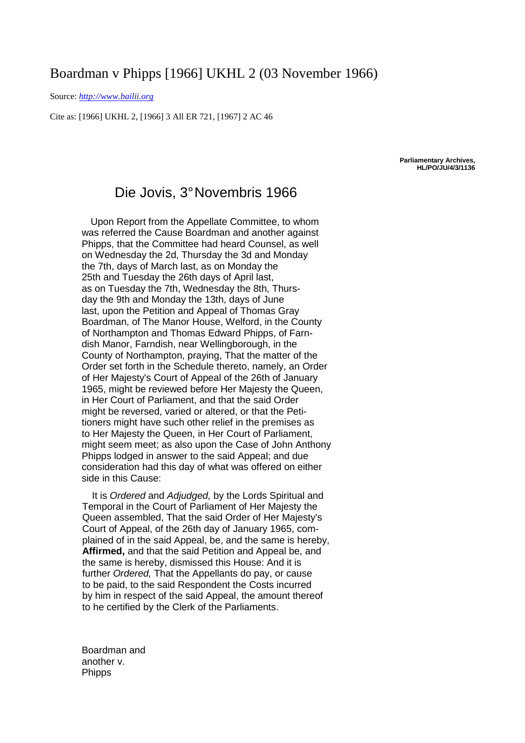# Boardman v Phipps [1966] UKHL 2 (03 November 1966)

Source: *http://www.bailii.org*

Cite as: [1966] UKHL 2, [1966] 3 All ER 721, [1967] 2 AC 46

**Parliamentary Archives, HL/PO/JU/4/3/1136**

# Die Jovis, 3° Novembris 1966

Upon Report from the Appellate Committee, to whom was referred the Cause Boardman and another against Phipps, that the Committee had heard Counsel, as well on Wednesday the 2d, Thursday the 3d and Monday the 7th, days of March last, as on Monday the 25th and Tuesday the 26th days of April last, as on Tuesday the 7th, Wednesday the 8th, Thursday the 9th and Monday the 13th, days of June last, upon the Petition and Appeal of Thomas Gray Boardman, of The Manor House, Welford, in the County of Northampton and Thomas Edward Phipps, of Farndish Manor, Farndish, near Wellingborough, in the County of Northampton, praying, That the matter of the Order set forth in the Schedule thereto, namely, an Order of Her Majesty's Court of Appeal of the 26th of January 1965, might be reviewed before Her Majesty the Queen, in Her Court of Parliament, and that the said Order might be reversed, varied or altered, or that the Petitioners might have such other relief in the premises as to Her Majesty the Queen, in Her Court of Parliament, might seem meet; as also upon the Case of John Anthony Phipps lodged in answer to the said Appeal; and due consideration had this day of what was offered on either side in this Cause:

It is Ordered and Adjudged, by the Lords Spiritual and Temporal in the Court of Parliament of Her Majesty the Queen assembled, That the said Order of Her Majesty's Court of Appeal, of the 26th day of January 1965, complained of in the said Appeal, be, and the same is hereby, **Affirmed,** and that the said Petition and Appeal be, and the same is hereby, dismissed this House: And it is further Ordered, That the Appellants do pay, or cause to be paid, to the said Respondent the Costs incurred by him in respect of the said Appeal, the amount thereof to he certified by the Clerk of the Parliaments.

Boardman and another v. Phipps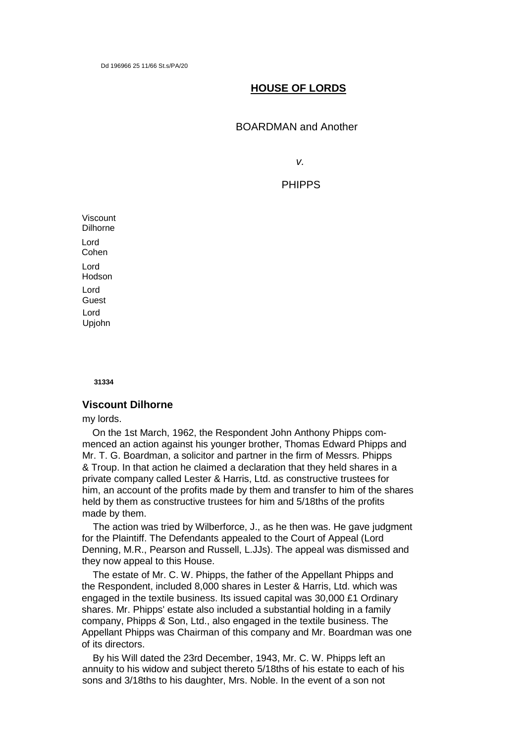# **HOUSE OF LORDS**

# BOARDMAN and Another

v.

PHIPPS

Viscount Dilhorne Lord Cohen Lord Hodson Lord Guest Lord Upjohn

**31334**

### **Viscount Dilhorne**

my lords.

On the 1st March, 1962, the Respondent John Anthony Phipps commenced an action against his younger brother, Thomas Edward Phipps and Mr. T. G. Boardman, a solicitor and partner in the firm of Messrs. Phipps & Troup. In that action he claimed a declaration that they held shares in a private company called Lester & Harris, Ltd. as constructive trustees for him, an account of the profits made by them and transfer to him of the shares held by them as constructive trustees for him and 5/18ths of the profits made by them.

The action was tried by Wilberforce, J., as he then was. He gave judgment for the Plaintiff. The Defendants appealed to the Court of Appeal (Lord Denning, M.R., Pearson and Russell, L.JJs). The appeal was dismissed and they now appeal to this House.

The estate of Mr. C. W. Phipps, the father of the Appellant Phipps and the Respondent, included 8,000 shares in Lester & Harris, Ltd. which was engaged in the textile business. Its issued capital was 30,000 £1 Ordinary shares. Mr. Phipps' estate also included a substantial holding in a family company, Phipps & Son, Ltd., also engaged in the textile business. The Appellant Phipps was Chairman of this company and Mr. Boardman was one of its directors.

By his Will dated the 23rd December, 1943, Mr. C. W. Phipps left an annuity to his widow and subject thereto 5/18ths of his estate to each of his sons and 3/18ths to his daughter, Mrs. Noble. In the event of a son not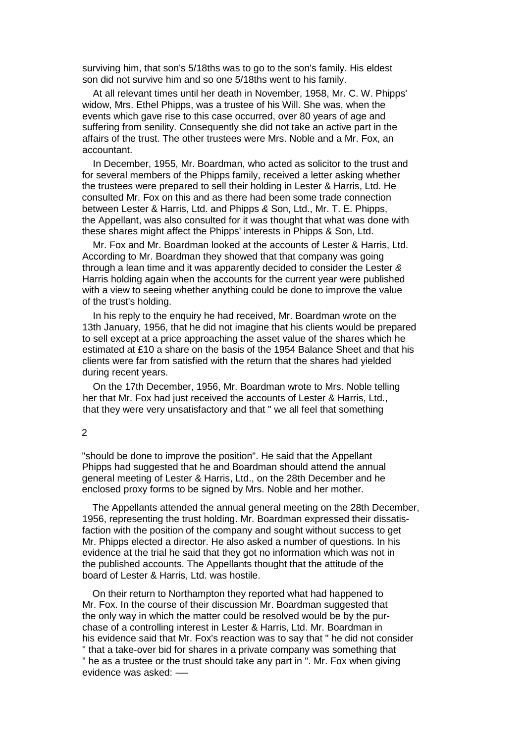surviving him, that son's 5/18ths was to go to the son's family. His eldest son did not survive him and so one 5/18ths went to his family.

At all relevant times until her death in November, 1958, Mr. C. W. Phipps' widow, Mrs. Ethel Phipps, was a trustee of his Will. She was, when the events which gave rise to this case occurred, over 80 years of age and suffering from senility. Consequently she did not take an active part in the affairs of the trust. The other trustees were Mrs. Noble and a Mr. Fox, an accountant.

In December, 1955, Mr. Boardman, who acted as solicitor to the trust and for several members of the Phipps family, received a letter asking whether the trustees were prepared to sell their holding in Lester & Harris, Ltd. He consulted Mr. Fox on this and as there had been some trade connection between Lester & Harris, Ltd. and Phipps & Son, Ltd., Mr. T. E. Phipps, the Appellant, was also consulted for it was thought that what was done with these shares might affect the Phipps' interests in Phipps & Son, Ltd.

Mr. Fox and Mr. Boardman looked at the accounts of Lester & Harris, Ltd. According to Mr. Boardman they showed that that company was going through a lean time and it was apparently decided to consider the Lester & Harris holding again when the accounts for the current year were published with a view to seeing whether anything could be done to improve the value of the trust's holding.

In his reply to the enquiry he had received, Mr. Boardman wrote on the 13th January, 1956, that he did not imagine that his clients would be prepared to sell except at a price approaching the asset value of the shares which he estimated at £10 a share on the basis of the 1954 Balance Sheet and that his clients were far from satisfied with the return that the shares had yielded during recent years.

On the 17th December, 1956, Mr. Boardman wrote to Mrs. Noble telling her that Mr. Fox had just received the accounts of Lester & Harris, Ltd., that they were very unsatisfactory and that " we all feel that something

# $\mathcal{L}$

"should be done to improve the position". He said that the Appellant Phipps had suggested that he and Boardman should attend the annual general meeting of Lester & Harris, Ltd., on the 28th December and he enclosed proxy forms to be signed by Mrs. Noble and her mother.

The Appellants attended the annual general meeting on the 28th December, 1956, representing the trust holding. Mr. Boardman expressed their dissatisfaction with the position of the company and sought without success to get Mr. Phipps elected a director. He also asked a number of questions. In his evidence at the trial he said that they got no information which was not in the published accounts. The Appellants thought that the attitude of the board of Lester & Harris, Ltd. was hostile.

On their return to Northampton they reported what had happened to Mr. Fox. In the course of their discussion Mr. Boardman suggested that the only way in which the matter could be resolved would be by the purchase of a controlling interest in Lester & Harris, Ltd. Mr. Boardman in his evidence said that Mr. Fox's reaction was to say that " he did not consider " that a take-over bid for shares in a private company was something that " he as a trustee or the trust should take any part in ". Mr. Fox when giving evidence was asked: -—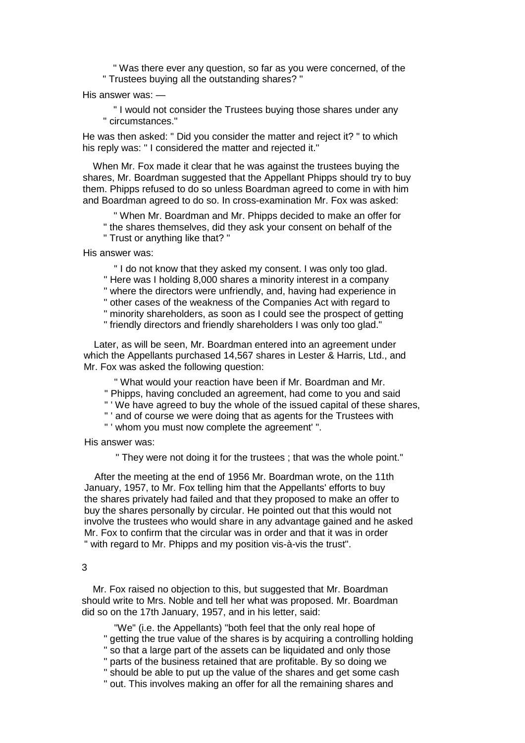" Was there ever any question, so far as you were concerned, of the " Trustees buying all the outstanding shares? "

His answer was: —

" I would not consider the Trustees buying those shares under any " circumstances."

He was then asked: " Did you consider the matter and reject it? " to which his reply was: " I considered the matter and rejected it."

When Mr. Fox made it clear that he was against the trustees buying the shares, Mr. Boardman suggested that the Appellant Phipps should try to buy them. Phipps refused to do so unless Boardman agreed to come in with him and Boardman agreed to do so. In cross-examination Mr. Fox was asked:

" When Mr. Boardman and Mr. Phipps decided to make an offer for

" the shares themselves, did they ask your consent on behalf of the

" Trust or anything like that? "

His answer was:

" I do not know that they asked my consent. I was only too glad.

" Here was I holding 8,000 shares a minority interest in a company

" where the directors were unfriendly, and, having had experience in

" other cases of the weakness of the Companies Act with regard to

" minority shareholders, as soon as I could see the prospect of getting

" friendly directors and friendly shareholders I was only too glad."

Later, as will be seen, Mr. Boardman entered into an agreement under which the Appellants purchased 14,567 shares in Lester & Harris, Ltd., and Mr. Fox was asked the following question:

" What would your reaction have been if Mr. Boardman and Mr.

- " Phipps, having concluded an agreement, had come to you and said
- " ' We have agreed to buy the whole of the issued capital of these shares,
- " ' and of course we were doing that as agents for the Trustees with

" ' whom you must now complete the agreement' ".

His answer was:

" They were not doing it for the trustees ; that was the whole point."

After the meeting at the end of 1956 Mr. Boardman wrote, on the 11th January, 1957, to Mr. Fox telling him that the Appellants' efforts to buy the shares privately had failed and that they proposed to make an offer to buy the shares personally by circular. He pointed out that this would not involve the trustees who would share in any advantage gained and he asked Mr. Fox to confirm that the circular was in order and that it was in order " with regard to Mr. Phipps and my position vis-à-vis the trust".

#### 3

Mr. Fox raised no objection to this, but suggested that Mr. Boardman should write to Mrs. Noble and tell her what was proposed. Mr. Boardman did so on the 17th January, 1957, and in his letter, said:

"We" (i.e. the Appellants) "both feel that the only real hope of " getting the true value of the shares is by acquiring a controlling holding

- " so that a large part of the assets can be liquidated and only those
- " parts of the business retained that are profitable. By so doing we

" should be able to put up the value of the shares and get some cash

" out. This involves making an offer for all the remaining shares and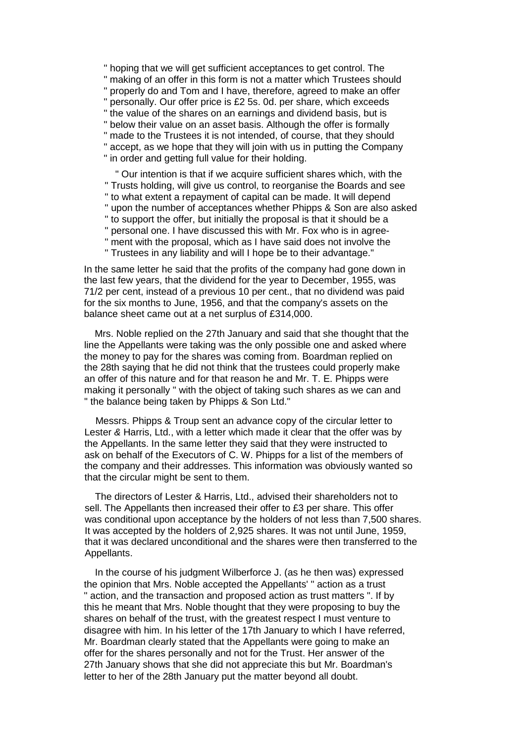" hoping that we will get sufficient acceptances to get control. The " making of an offer in this form is not a matter which Trustees should " properly do and Tom and I have, therefore, agreed to make an offer " personally. Our offer price is £2 5s. 0d. per share, which exceeds " the value of the shares on an earnings and dividend basis, but is " below their value on an asset basis. Although the offer is formally " made to the Trustees it is not intended, of course, that they should " accept, as we hope that they will join with us in putting the Company " in order and getting full value for their holding.

" Our intention is that if we acquire sufficient shares which, with the " Trusts holding, will give us control, to reorganise the Boards and see " to what extent a repayment of capital can be made. It will depend " upon the number of acceptances whether Phipps & Son are also asked " to support the offer, but initially the proposal is that it should be a " personal one. I have discussed this with Mr. Fox who is in agree-

" ment with the proposal, which as I have said does not involve the

" Trustees in any liability and will I hope be to their advantage."

In the same letter he said that the profits of the company had gone down in the last few years, that the dividend for the year to December, 1955, was 71/2 per cent, instead of a previous 10 per cent., that no dividend was paid for the six months to June, 1956, and that the company's assets on the balance sheet came out at a net surplus of £314,000.

Mrs. Noble replied on the 27th January and said that she thought that the line the Appellants were taking was the only possible one and asked where the money to pay for the shares was coming from. Boardman replied on the 28th saying that he did not think that the trustees could properly make an offer of this nature and for that reason he and Mr. T. E. Phipps were making it personally " with the object of taking such shares as we can and " the balance being taken by Phipps & Son Ltd."

Messrs. Phipps & Troup sent an advance copy of the circular letter to Lester & Harris, Ltd., with a letter which made it clear that the offer was by the Appellants. In the same letter they said that they were instructed to ask on behalf of the Executors of C. W. Phipps for a list of the members of the company and their addresses. This information was obviously wanted so that the circular might be sent to them.

The directors of Lester & Harris, Ltd., advised their shareholders not to sell. The Appellants then increased their offer to £3 per share. This offer was conditional upon acceptance by the holders of not less than 7,500 shares. It was accepted by the holders of 2,925 shares. It was not until June, 1959, that it was declared unconditional and the shares were then transferred to the Appellants.

In the course of his judgment Wilberforce J. (as he then was) expressed the opinion that Mrs. Noble accepted the Appellants' " action as a trust " action, and the transaction and proposed action as trust matters ". If by this he meant that Mrs. Noble thought that they were proposing to buy the shares on behalf of the trust, with the greatest respect I must venture to disagree with him. In his letter of the 17th January to which I have referred, Mr. Boardman clearly stated that the Appellants were going to make an offer for the shares personally and not for the Trust. Her answer of the 27th January shows that she did not appreciate this but Mr. Boardman's letter to her of the 28th January put the matter beyond all doubt.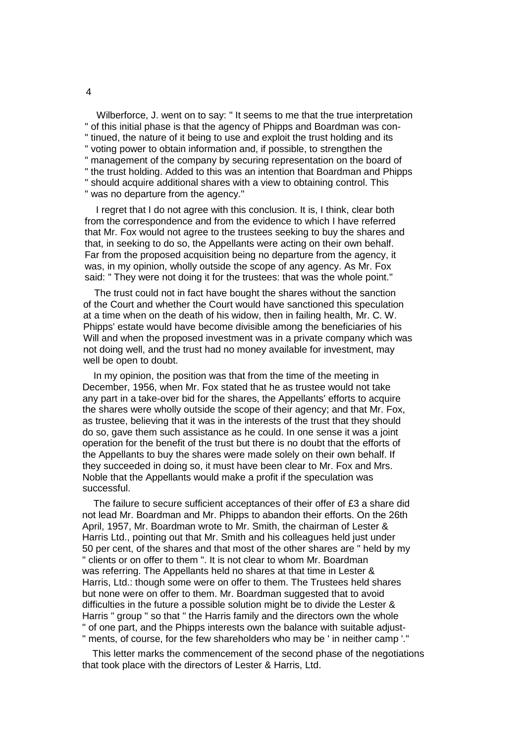Wilberforce, J. went on to say: " It seems to me that the true interpretation " of this initial phase is that the agency of Phipps and Boardman was con- " tinued, the nature of it being to use and exploit the trust holding and its " voting power to obtain information and, if possible, to strengthen the " management of the company by securing representation on the board of " the trust holding. Added to this was an intention that Boardman and Phipps " should acquire additional shares with a view to obtaining control. This " was no departure from the agency."

I regret that I do not agree with this conclusion. It is, I think, clear both from the correspondence and from the evidence to which I have referred that Mr. Fox would not agree to the trustees seeking to buy the shares and that, in seeking to do so, the Appellants were acting on their own behalf. Far from the proposed acquisition being no departure from the agency, it was, in my opinion, wholly outside the scope of any agency. As Mr. Fox said: " They were not doing it for the trustees: that was the whole point."

The trust could not in fact have bought the shares without the sanction of the Court and whether the Court would have sanctioned this speculation at a time when on the death of his widow, then in failing health, Mr. C. W. Phipps' estate would have become divisible among the beneficiaries of his Will and when the proposed investment was in a private company which was not doing well, and the trust had no money available for investment, may well be open to doubt.

In my opinion, the position was that from the time of the meeting in December, 1956, when Mr. Fox stated that he as trustee would not take any part in a take-over bid for the shares, the Appellants' efforts to acquire the shares were wholly outside the scope of their agency; and that Mr. Fox, as trustee, believing that it was in the interests of the trust that they should do so, gave them such assistance as he could. In one sense it was a joint operation for the benefit of the trust but there is no doubt that the efforts of the Appellants to buy the shares were made solely on their own behalf. If they succeeded in doing so, it must have been clear to Mr. Fox and Mrs. Noble that the Appellants would make a profit if the speculation was successful.

The failure to secure sufficient acceptances of their offer of £3 a share did not lead Mr. Boardman and Mr. Phipps to abandon their efforts. On the 26th April, 1957, Mr. Boardman wrote to Mr. Smith, the chairman of Lester & Harris Ltd., pointing out that Mr. Smith and his colleagues held just under 50 per cent, of the shares and that most of the other shares are " held by my " clients or on offer to them ". It is not clear to whom Mr. Boardman was referring. The Appellants held no shares at that time in Lester & Harris, Ltd.: though some were on offer to them. The Trustees held shares but none were on offer to them. Mr. Boardman suggested that to avoid difficulties in the future a possible solution might be to divide the Lester & Harris " group " so that " the Harris family and the directors own the whole " of one part, and the Phipps interests own the balance with suitable adjust- " ments, of course, for the few shareholders who may be ' in neither camp '."

This letter marks the commencement of the second phase of the negotiations that took place with the directors of Lester & Harris, Ltd.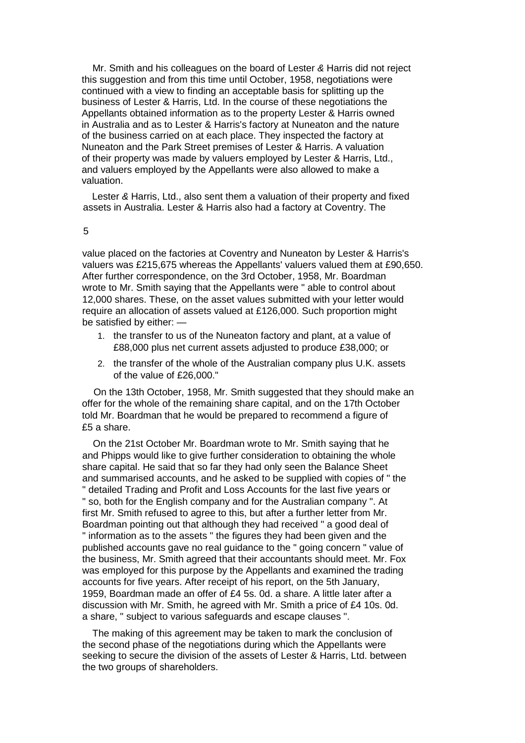Mr. Smith and his colleagues on the board of Lester & Harris did not reject this suggestion and from this time until October, 1958, negotiations were continued with a view to finding an acceptable basis for splitting up the business of Lester & Harris, Ltd. In the course of these negotiations the Appellants obtained information as to the property Lester & Harris owned in Australia and as to Lester & Harris's factory at Nuneaton and the nature of the business carried on at each place. They inspected the factory at Nuneaton and the Park Street premises of Lester & Harris. A valuation of their property was made by valuers employed by Lester & Harris, Ltd., and valuers employed by the Appellants were also allowed to make a valuation.

Lester & Harris, Ltd., also sent them a valuation of their property and fixed assets in Australia. Lester & Harris also had a factory at Coventry. The

#### 5

value placed on the factories at Coventry and Nuneaton by Lester & Harris's valuers was £215,675 whereas the Appellants' valuers valued them at £90,650. After further correspondence, on the 3rd October, 1958, Mr. Boardman wrote to Mr. Smith saying that the Appellants were " able to control about 12,000 shares. These, on the asset values submitted with your letter would require an allocation of assets valued at £126,000. Such proportion might be satisfied by either: —

- 1. the transfer to us of the Nuneaton factory and plant, at a value of £88,000 plus net current assets adjusted to produce £38,000; or
- 2. the transfer of the whole of the Australian company plus U.K. assets of the value of £26,000."

On the 13th October, 1958, Mr. Smith suggested that they should make an offer for the whole of the remaining share capital, and on the 17th October told Mr. Boardman that he would be prepared to recommend a figure of £5 a share.

On the 21st October Mr. Boardman wrote to Mr. Smith saying that he and Phipps would like to give further consideration to obtaining the whole share capital. He said that so far they had only seen the Balance Sheet and summarised accounts, and he asked to be supplied with copies of " the " detailed Trading and Profit and Loss Accounts for the last five years or " so, both for the English company and for the Australian company ". At first Mr. Smith refused to agree to this, but after a further letter from Mr. Boardman pointing out that although they had received " a good deal of " information as to the assets " the figures they had been given and the published accounts gave no real guidance to the " going concern " value of the business, Mr. Smith agreed that their accountants should meet. Mr. Fox was employed for this purpose by the Appellants and examined the trading accounts for five years. After receipt of his report, on the 5th January, 1959, Boardman made an offer of £4 5s. 0d. a share. A little later after a discussion with Mr. Smith, he agreed with Mr. Smith a price of £4 10s. 0d. a share, " subject to various safeguards and escape clauses ".

The making of this agreement may be taken to mark the conclusion of the second phase of the negotiations during which the Appellants were seeking to secure the division of the assets of Lester & Harris, Ltd. between the two groups of shareholders.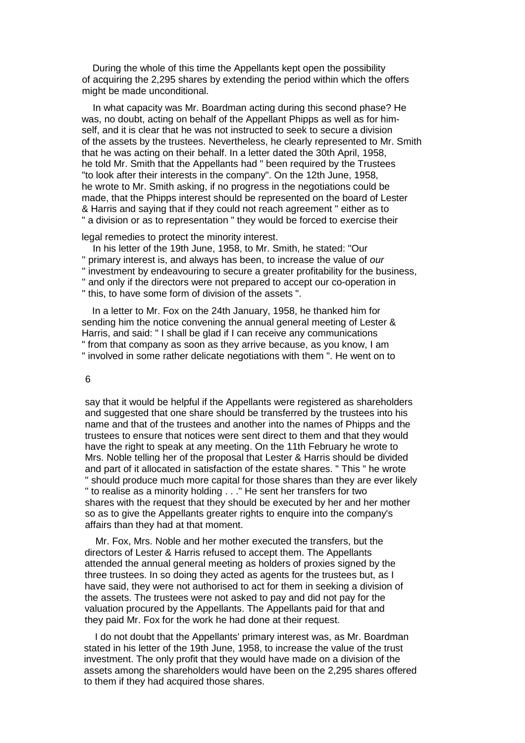During the whole of this time the Appellants kept open the possibility of acquiring the 2,295 shares by extending the period within which the offers might be made unconditional.

In what capacity was Mr. Boardman acting during this second phase? He was, no doubt, acting on behalf of the Appellant Phipps as well as for himself, and it is clear that he was not instructed to seek to secure a division of the assets by the trustees. Nevertheless, he clearly represented to Mr. Smith that he was acting on their behalf. In a letter dated the 30th April, 1958, he told Mr. Smith that the Appellants had " been required by the Trustees "to look after their interests in the company". On the 12th June, 1958, he wrote to Mr. Smith asking, if no progress in the negotiations could be made, that the Phipps interest should be represented on the board of Lester & Harris and saying that if they could not reach agreement " either as to " a division or as to representation " they would be forced to exercise their

legal remedies to protect the minority interest.

In his letter of the 19th June, 1958, to Mr. Smith, he stated: "Our " primary interest is, and always has been, to increase the value of our " investment by endeavouring to secure a greater profitability for the business, " and only if the directors were not prepared to accept our co-operation in " this, to have some form of division of the assets ".

In a letter to Mr. Fox on the 24th January, 1958, he thanked him for sending him the notice convening the annual general meeting of Lester & Harris, and said: " I shall be glad if I can receive any communications " from that company as soon as they arrive because, as you know, I am " involved in some rather delicate negotiations with them ". He went on to

#### 6

say that it would be helpful if the Appellants were registered as shareholders and suggested that one share should be transferred by the trustees into his name and that of the trustees and another into the names of Phipps and the trustees to ensure that notices were sent direct to them and that they would have the right to speak at any meeting. On the 11th February he wrote to Mrs. Noble telling her of the proposal that Lester & Harris should be divided and part of it allocated in satisfaction of the estate shares. " This " he wrote " should produce much more capital for those shares than they are ever likely " to realise as a minority holding . . ." He sent her transfers for two shares with the request that they should be executed by her and her mother so as to give the Appellants greater rights to enquire into the company's affairs than they had at that moment.

Mr. Fox, Mrs. Noble and her mother executed the transfers, but the directors of Lester & Harris refused to accept them. The Appellants attended the annual general meeting as holders of proxies signed by the three trustees. In so doing they acted as agents for the trustees but, as I have said, they were not authorised to act for them in seeking a division of the assets. The trustees were not asked to pay and did not pay for the valuation procured by the Appellants. The Appellants paid for that and they paid Mr. Fox for the work he had done at their request.

I do not doubt that the Appellants' primary interest was, as Mr. Boardman stated in his letter of the 19th June, 1958, to increase the value of the trust investment. The only profit that they would have made on a division of the assets among the shareholders would have been on the 2,295 shares offered to them if they had acquired those shares.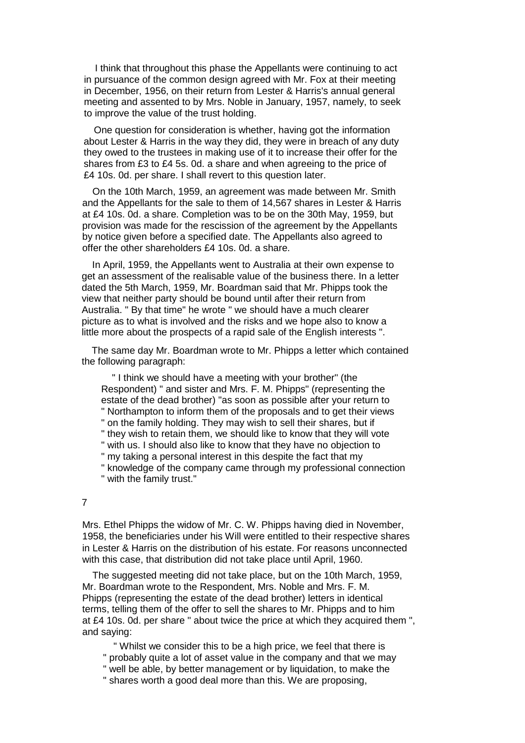I think that throughout this phase the Appellants were continuing to act in pursuance of the common design agreed with Mr. Fox at their meeting in December, 1956, on their return from Lester & Harris's annual general meeting and assented to by Mrs. Noble in January, 1957, namely, to seek to improve the value of the trust holding.

One question for consideration is whether, having got the information about Lester & Harris in the way they did, they were in breach of any duty they owed to the trustees in making use of it to increase their offer for the shares from £3 to £4 5s. 0d. a share and when agreeing to the price of £4 10s. 0d. per share. I shall revert to this question later.

On the 10th March, 1959, an agreement was made between Mr. Smith and the Appellants for the sale to them of 14,567 shares in Lester & Harris at £4 10s. 0d. a share. Completion was to be on the 30th May, 1959, but provision was made for the rescission of the agreement by the Appellants by notice given before a specified date. The Appellants also agreed to offer the other shareholders £4 10s. 0d. a share.

In April, 1959, the Appellants went to Australia at their own expense to get an assessment of the realisable value of the business there. In a letter dated the 5th March, 1959, Mr. Boardman said that Mr. Phipps took the view that neither party should be bound until after their return from Australia. " By that time" he wrote " we should have a much clearer picture as to what is involved and the risks and we hope also to know a little more about the prospects of a rapid sale of the English interests ".

The same day Mr. Boardman wrote to Mr. Phipps a letter which contained the following paragraph:

" I think we should have a meeting with your brother" (the Respondent) " and sister and Mrs. F. M. Phipps" (representing the estate of the dead brother) "as soon as possible after your return to " Northampton to inform them of the proposals and to get their views " on the family holding. They may wish to sell their shares, but if " they wish to retain them, we should like to know that they will vote " with us. I should also like to know that they have no objection to " my taking a personal interest in this despite the fact that my " knowledge of the company came through my professional connection " with the family trust."

# 7

Mrs. Ethel Phipps the widow of Mr. C. W. Phipps having died in November, 1958, the beneficiaries under his Will were entitled to their respective shares in Lester & Harris on the distribution of his estate. For reasons unconnected with this case, that distribution did not take place until April, 1960.

The suggested meeting did not take place, but on the 10th March, 1959, Mr. Boardman wrote to the Respondent, Mrs. Noble and Mrs. F. M. Phipps (representing the estate of the dead brother) letters in identical terms, telling them of the offer to sell the shares to Mr. Phipps and to him at £4 10s. 0d. per share " about twice the price at which they acquired them ", and saying:

" Whilst we consider this to be a high price, we feel that there is

" probably quite a lot of asset value in the company and that we may

" well be able, by better management or by liquidation, to make the

" shares worth a good deal more than this. We are proposing,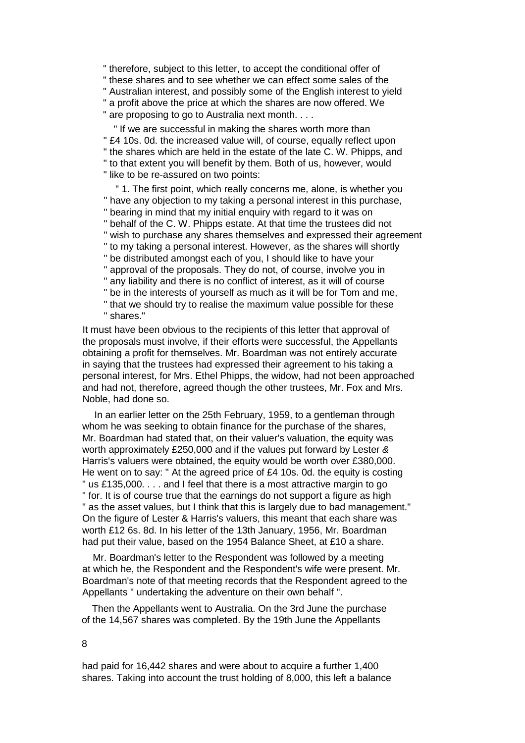" therefore, subject to this letter, to accept the conditional offer of " these shares and to see whether we can effect some sales of the " Australian interest, and possibly some of the English interest to yield " a profit above the price at which the shares are now offered. We " are proposing to go to Australia next month. . . . " If we are successful in making the shares worth more than

" £4 10s. 0d. the increased value will, of course, equally reflect upon " the shares which are held in the estate of the late C. W. Phipps, and " to that extent you will benefit by them. Both of us, however, would " like to be re-assured on two points:

" 1. The first point, which really concerns me, alone, is whether you " have any objection to my taking a personal interest in this purchase, " bearing in mind that my initial enquiry with regard to it was on " behalf of the C. W. Phipps estate. At that time the trustees did not " wish to purchase any shares themselves and expressed their agreement " to my taking a personal interest. However, as the shares will shortly " be distributed amongst each of you, I should like to have your " approval of the proposals. They do not, of course, involve you in " any liability and there is no conflict of interest, as it will of course " be in the interests of yourself as much as it will be for Tom and me, " that we should try to realise the maximum value possible for these " shares."

It must have been obvious to the recipients of this letter that approval of the proposals must involve, if their efforts were successful, the Appellants obtaining a profit for themselves. Mr. Boardman was not entirely accurate in saying that the trustees had expressed their agreement to his taking a personal interest, for Mrs. Ethel Phipps, the widow, had not been approached and had not, therefore, agreed though the other trustees, Mr. Fox and Mrs. Noble, had done so.

In an earlier letter on the 25th February, 1959, to a gentleman through whom he was seeking to obtain finance for the purchase of the shares, Mr. Boardman had stated that, on their valuer's valuation, the equity was worth approximately £250,000 and if the values put forward by Lester & Harris's valuers were obtained, the equity would be worth over £380,000. He went on to say: " At the agreed price of £4 10s, 0d, the equity is costing " us £135,000. . . . and I feel that there is a most attractive margin to go " for. It is of course true that the earnings do not support a figure as high " as the asset values, but I think that this is largely due to bad management." On the figure of Lester & Harris's valuers, this meant that each share was worth £12 6s. 8d. In his letter of the 13th January, 1956, Mr. Boardman had put their value, based on the 1954 Balance Sheet, at £10 a share.

Mr. Boardman's letter to the Respondent was followed by a meeting at which he, the Respondent and the Respondent's wife were present. Mr. Boardman's note of that meeting records that the Respondent agreed to the Appellants " undertaking the adventure on their own behalf ".

Then the Appellants went to Australia. On the 3rd June the purchase of the 14,567 shares was completed. By the 19th June the Appellants

8

had paid for 16,442 shares and were about to acquire a further 1,400 shares. Taking into account the trust holding of 8,000, this left a balance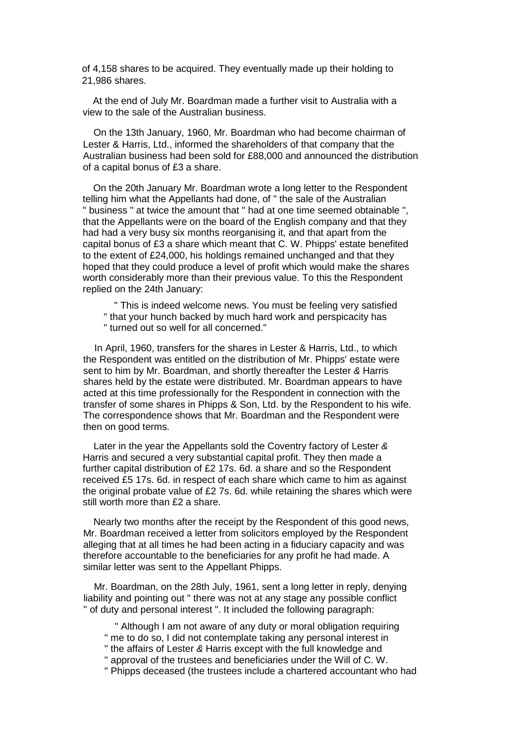of 4,158 shares to be acquired. They eventually made up their holding to 21,986 shares.

At the end of July Mr. Boardman made a further visit to Australia with a view to the sale of the Australian business.

On the 13th January, 1960, Mr. Boardman who had become chairman of Lester & Harris, Ltd., informed the shareholders of that company that the Australian business had been sold for £88,000 and announced the distribution of a capital bonus of £3 a share.

On the 20th January Mr. Boardman wrote a long letter to the Respondent telling him what the Appellants had done, of " the sale of the Australian " business " at twice the amount that " had at one time seemed obtainable ", that the Appellants were on the board of the English company and that they had had a very busy six months reorganising it, and that apart from the capital bonus of £3 a share which meant that C. W. Phipps' estate benefited to the extent of £24,000, his holdings remained unchanged and that they hoped that they could produce a level of profit which would make the shares worth considerably more than their previous value. To this the Respondent replied on the 24th January:

" This is indeed welcome news. You must be feeling very satisfied

- " that your hunch backed by much hard work and perspicacity has
- " turned out so well for all concerned."

In April, 1960, transfers for the shares in Lester & Harris, Ltd., to which the Respondent was entitled on the distribution of Mr. Phipps' estate were sent to him by Mr. Boardman, and shortly thereafter the Lester & Harris shares held by the estate were distributed. Mr. Boardman appears to have acted at this time professionally for the Respondent in connection with the transfer of some shares in Phipps & Son, Ltd. by the Respondent to his wife. The correspondence shows that Mr. Boardman and the Respondent were then on good terms.

Later in the year the Appellants sold the Coventry factory of Lester & Harris and secured a very substantial capital profit. They then made a further capital distribution of £2 17s. 6d. a share and so the Respondent received £5 17s. 6d. in respect of each share which came to him as against the original probate value of £2 7s. 6d. while retaining the shares which were still worth more than £2 a share.

Nearly two months after the receipt by the Respondent of this good news, Mr. Boardman received a letter from solicitors employed by the Respondent alleging that at all times he had been acting in a fiduciary capacity and was therefore accountable to the beneficiaries for any profit he had made. A similar letter was sent to the Appellant Phipps.

Mr. Boardman, on the 28th July, 1961, sent a long letter in reply, denying liability and pointing out " there was not at any stage any possible conflict " of duty and personal interest ". It included the following paragraph:

- " Although I am not aware of any duty or moral obligation requiring
- " me to do so, I did not contemplate taking any personal interest in
- " the affairs of Lester & Harris except with the full knowledge and
- " approval of the trustees and beneficiaries under the Will of C. W.
- " Phipps deceased (the trustees include a chartered accountant who had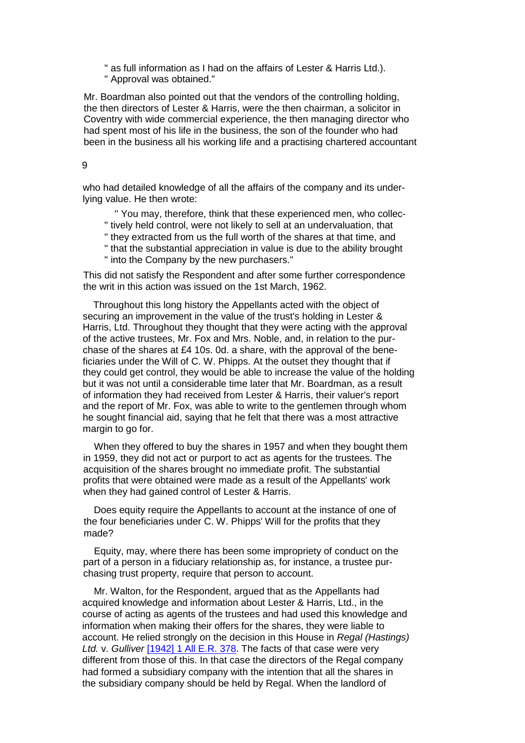" as full information as I had on the affairs of Lester & Harris Ltd.).

" Approval was obtained."

Mr. Boardman also pointed out that the vendors of the controlling holding, the then directors of Lester & Harris, were the then chairman, a solicitor in Coventry with wide commercial experience, the then managing director who had spent most of his life in the business, the son of the founder who had been in the business all his working life and a practising chartered accountant

9

who had detailed knowledge of all the affairs of the company and its underlying value. He then wrote:

" You may, therefore, think that these experienced men, who collec-

" tively held control, were not likely to sell at an undervaluation, that

- " they extracted from us the full worth of the shares at that time, and
- " that the substantial appreciation in value is due to the ability brought
- " into the Company by the new purchasers."

This did not satisfy the Respondent and after some further correspondence the writ in this action was issued on the 1st March, 1962.

Throughout this long history the Appellants acted with the object of securing an improvement in the value of the trust's holding in Lester & Harris, Ltd. Throughout they thought that they were acting with the approval of the active trustees, Mr. Fox and Mrs. Noble, and, in relation to the purchase of the shares at £4 10s. 0d. a share, with the approval of the beneficiaries under the Will of C. W. Phipps. At the outset they thought that if they could get control, they would be able to increase the value of the holding but it was not until a considerable time later that Mr. Boardman, as a result of information they had received from Lester & Harris, their valuer's report and the report of Mr. Fox, was able to write to the gentlemen through whom he sought financial aid, saying that he felt that there was a most attractive margin to go for.

When they offered to buy the shares in 1957 and when they bought them in 1959, they did not act or purport to act as agents for the trustees. The acquisition of the shares brought no immediate profit. The substantial profits that were obtained were made as a result of the Appellants' work when they had gained control of Lester & Harris.

Does equity require the Appellants to account at the instance of one of the four beneficiaries under C. W. Phipps' Will for the profits that they made?

Equity, may, where there has been some impropriety of conduct on the part of a person in a fiduciary relationship as, for instance, a trustee purchasing trust property, require that person to account.

Mr. Walton, for the Respondent, argued that as the Appellants had acquired knowledge and information about Lester & Harris, Ltd., in the course of acting as agents of the trustees and had used this knowledge and information when making their offers for the shares, they were liable to account. He relied strongly on the decision in this House in Regal (Hastings) Ltd. v. Gulliver [1942] 1 All E.R. 378. The facts of that case were very different from those of this. In that case the directors of the Regal company had formed a subsidiary company with the intention that all the shares in the subsidiary company should be held by Regal. When the landlord of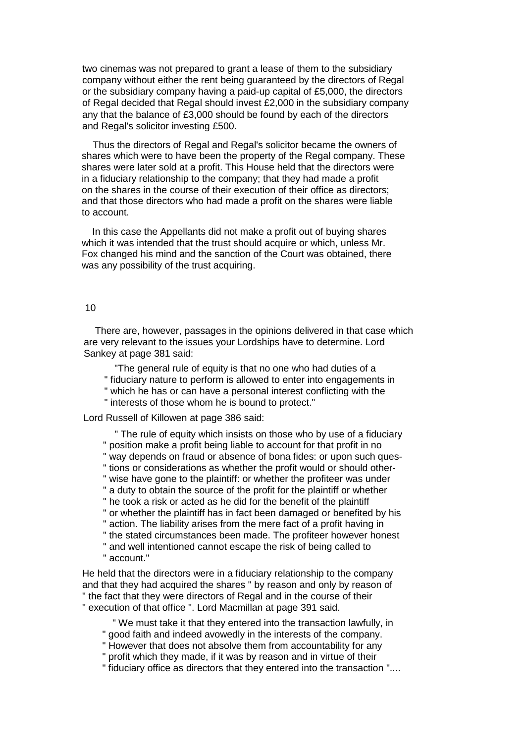two cinemas was not prepared to grant a lease of them to the subsidiary company without either the rent being guaranteed by the directors of Regal or the subsidiary company having a paid-up capital of £5,000, the directors of Regal decided that Regal should invest £2,000 in the subsidiary company any that the balance of £3,000 should be found by each of the directors and Regal's solicitor investing £500.

Thus the directors of Regal and Regal's solicitor became the owners of shares which were to have been the property of the Regal company. These shares were later sold at a profit. This House held that the directors were in a fiduciary relationship to the company; that they had made a profit on the shares in the course of their execution of their office as directors; and that those directors who had made a profit on the shares were liable to account.

In this case the Appellants did not make a profit out of buying shares which it was intended that the trust should acquire or which, unless Mr. Fox changed his mind and the sanction of the Court was obtained, there was any possibility of the trust acquiring.

## 10

There are, however, passages in the opinions delivered in that case which are very relevant to the issues your Lordships have to determine. Lord Sankey at page 381 said:

"The general rule of equity is that no one who had duties of a

- " fiduciary nature to perform is allowed to enter into engagements in
- " which he has or can have a personal interest conflicting with the
- " interests of those whom he is bound to protect."

Lord Russell of Killowen at page 386 said:

" The rule of equity which insists on those who by use of a fiduciary " position make a profit being liable to account for that profit in no " way depends on fraud or absence of bona fides: or upon such ques- " tions or considerations as whether the profit would or should other- " wise have gone to the plaintiff: or whether the profiteer was under " a duty to obtain the source of the profit for the plaintiff or whether " he took a risk or acted as he did for the benefit of the plaintiff " or whether the plaintiff has in fact been damaged or benefited by his " action. The liability arises from the mere fact of a profit having in " the stated circumstances been made. The profiteer however honest " and well intentioned cannot escape the risk of being called to " account."

He held that the directors were in a fiduciary relationship to the company and that they had acquired the shares " by reason and only by reason of " the fact that they were directors of Regal and in the course of their " execution of that office ". Lord Macmillan at page 391 said.

" We must take it that they entered into the transaction lawfully, in " good faith and indeed avowedly in the interests of the company.

" However that does not absolve them from accountability for any

" profit which they made, if it was by reason and in virtue of their

" fiduciary office as directors that they entered into the transaction "....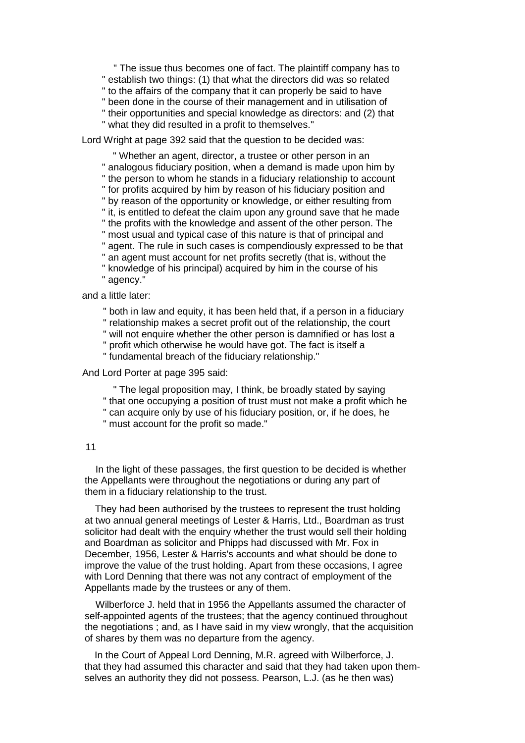" The issue thus becomes one of fact. The plaintiff company has to

" establish two things: (1) that what the directors did was so related

" to the affairs of the company that it can properly be said to have

" been done in the course of their management and in utilisation of

" their opportunities and special knowledge as directors: and (2) that " what they did resulted in a profit to themselves."

Lord Wright at page 392 said that the question to be decided was:

" Whether an agent, director, a trustee or other person in an " analogous fiduciary position, when a demand is made upon him by

" the person to whom he stands in a fiduciary relationship to account

- " for profits acquired by him by reason of his fiduciary position and
- " by reason of the opportunity or knowledge, or either resulting from

" it, is entitled to defeat the claim upon any ground save that he made

- " the profits with the knowledge and assent of the other person. The
- " most usual and typical case of this nature is that of principal and
- " agent. The rule in such cases is compendiously expressed to be that
- " an agent must account for net profits secretly (that is, without the

" knowledge of his principal) acquired by him in the course of his " agency."

and a little later:

" both in law and equity, it has been held that, if a person in a fiduciary

" relationship makes a secret profit out of the relationship, the court

" will not enquire whether the other person is damnified or has lost a

" profit which otherwise he would have got. The fact is itself a

" fundamental breach of the fiduciary relationship."

And Lord Porter at page 395 said:

" The legal proposition may, I think, be broadly stated by saying

- " that one occupying a position of trust must not make a profit which he
- " can acquire only by use of his fiduciary position, or, if he does, he
- " must account for the profit so made."

# 11

In the light of these passages, the first question to be decided is whether the Appellants were throughout the negotiations or during any part of them in a fiduciary relationship to the trust.

They had been authorised by the trustees to represent the trust holding at two annual general meetings of Lester & Harris, Ltd., Boardman as trust solicitor had dealt with the enquiry whether the trust would sell their holding and Boardman as solicitor and Phipps had discussed with Mr. Fox in December, 1956, Lester & Harris's accounts and what should be done to improve the value of the trust holding. Apart from these occasions, I agree with Lord Denning that there was not any contract of employment of the Appellants made by the trustees or any of them.

Wilberforce J. held that in 1956 the Appellants assumed the character of self-appointed agents of the trustees; that the agency continued throughout the negotiations ; and, as I have said in my view wrongly, that the acquisition of shares by them was no departure from the agency.

In the Court of Appeal Lord Denning, M.R. agreed with Wilberforce, J. that they had assumed this character and said that they had taken upon themselves an authority they did not possess. Pearson, L.J. (as he then was)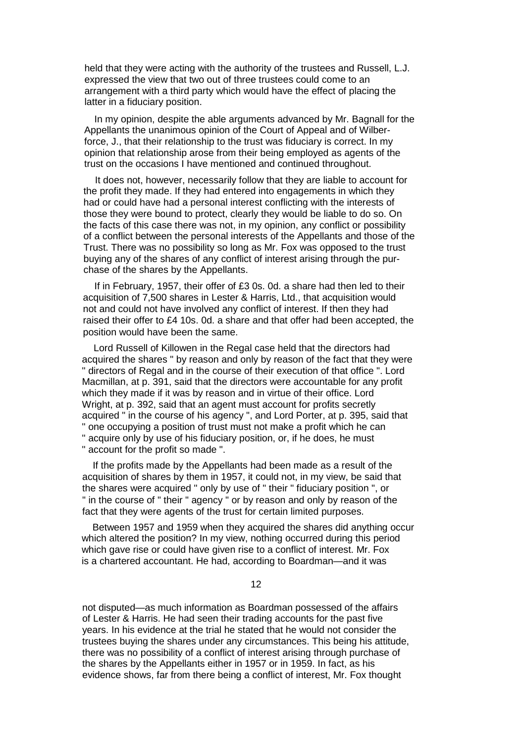held that they were acting with the authority of the trustees and Russell, L.J. expressed the view that two out of three trustees could come to an arrangement with a third party which would have the effect of placing the latter in a fiduciary position.

In my opinion, despite the able arguments advanced by Mr. Bagnall for the Appellants the unanimous opinion of the Court of Appeal and of Wilberforce, J., that their relationship to the trust was fiduciary is correct. In my opinion that relationship arose from their being employed as agents of the trust on the occasions I have mentioned and continued throughout.

It does not, however, necessarily follow that they are liable to account for the profit they made. If they had entered into engagements in which they had or could have had a personal interest conflicting with the interests of those they were bound to protect, clearly they would be liable to do so. On the facts of this case there was not, in my opinion, any conflict or possibility of a conflict between the personal interests of the Appellants and those of the Trust. There was no possibility so long as Mr. Fox was opposed to the trust buying any of the shares of any conflict of interest arising through the purchase of the shares by the Appellants.

If in February, 1957, their offer of £3 0s. 0d. a share had then led to their acquisition of 7,500 shares in Lester & Harris, Ltd., that acquisition would not and could not have involved any conflict of interest. If then they had raised their offer to £4 10s. 0d. a share and that offer had been accepted, the position would have been the same.

Lord Russell of Killowen in the Regal case held that the directors had acquired the shares " by reason and only by reason of the fact that they were " directors of Regal and in the course of their execution of that office ". Lord Macmillan, at p. 391, said that the directors were accountable for any profit which they made if it was by reason and in virtue of their office. Lord Wright, at p. 392, said that an agent must account for profits secretly acquired " in the course of his agency ", and Lord Porter, at p. 395, said that " one occupying a position of trust must not make a profit which he can " acquire only by use of his fiduciary position, or, if he does, he must " account for the profit so made ".

If the profits made by the Appellants had been made as a result of the acquisition of shares by them in 1957, it could not, in my view, be said that the shares were acquired " only by use of " their " fiduciary position ", or " in the course of " their " agency " or by reason and only by reason of the fact that they were agents of the trust for certain limited purposes.

Between 1957 and 1959 when they acquired the shares did anything occur which altered the position? In my view, nothing occurred during this period which gave rise or could have given rise to a conflict of interest. Mr. Fox is a chartered accountant. He had, according to Boardman—and it was

12

not disputed—as much information as Boardman possessed of the affairs of Lester & Harris. He had seen their trading accounts for the past five years. In his evidence at the trial he stated that he would not consider the trustees buying the shares under any circumstances. This being his attitude, there was no possibility of a conflict of interest arising through purchase of the shares by the Appellants either in 1957 or in 1959. In fact, as his evidence shows, far from there being a conflict of interest, Mr. Fox thought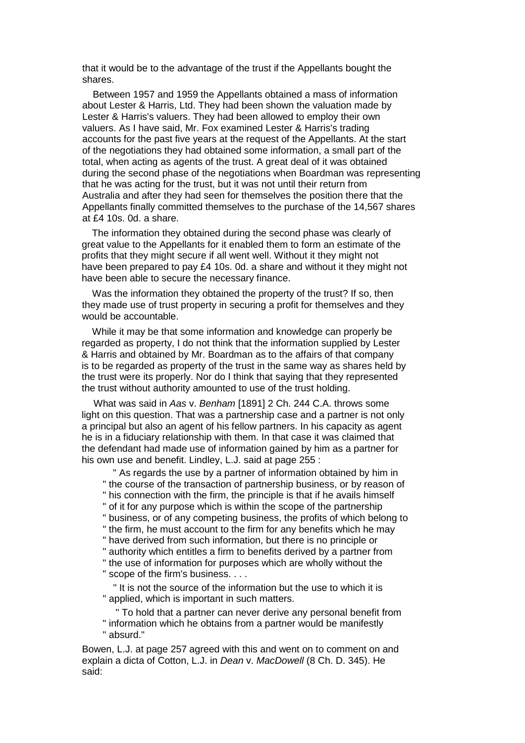that it would be to the advantage of the trust if the Appellants bought the shares.

Between 1957 and 1959 the Appellants obtained a mass of information about Lester & Harris, Ltd. They had been shown the valuation made by Lester & Harris's valuers. They had been allowed to employ their own valuers. As I have said, Mr. Fox examined Lester & Harris's trading accounts for the past five years at the request of the Appellants. At the start of the negotiations they had obtained some information, a small part of the total, when acting as agents of the trust. A great deal of it was obtained during the second phase of the negotiations when Boardman was representing that he was acting for the trust, but it was not until their return from Australia and after they had seen for themselves the position there that the Appellants finally committed themselves to the purchase of the 14,567 shares at £4 10s. 0d. a share.

The information they obtained during the second phase was clearly of great value to the Appellants for it enabled them to form an estimate of the profits that they might secure if all went well. Without it they might not have been prepared to pay £4 10s. 0d. a share and without it they might not have been able to secure the necessary finance.

Was the information they obtained the property of the trust? If so, then they made use of trust property in securing a profit for themselves and they would be accountable.

While it may be that some information and knowledge can properly be regarded as property, I do not think that the information supplied by Lester & Harris and obtained by Mr. Boardman as to the affairs of that company is to be regarded as property of the trust in the same way as shares held by the trust were its properly. Nor do I think that saying that they represented the trust without authority amounted to use of the trust holding.

What was said in Aas v. Benham [1891] 2 Ch. 244 C.A. throws some light on this question. That was a partnership case and a partner is not only a principal but also an agent of his fellow partners. In his capacity as agent he is in a fiduciary relationship with them. In that case it was claimed that the defendant had made use of information gained by him as a partner for his own use and benefit. Lindley, L.J. said at page 255 :

" As regards the use by a partner of information obtained by him in " the course of the transaction of partnership business, or by reason of

- " his connection with the firm, the principle is that if he avails himself
- " of it for any purpose which is within the scope of the partnership
- " business, or of any competing business, the profits of which belong to
- " the firm, he must account to the firm for any benefits which he may
- " have derived from such information, but there is no principle or
- " authority which entitles a firm to benefits derived by a partner from
- " the use of information for purposes which are wholly without the
- " scope of the firm's business. . . .

" It is not the source of the information but the use to which it is " applied, which is important in such matters.

" To hold that a partner can never derive any personal benefit from

" information which he obtains from a partner would be manifestly " absurd."

Bowen, L.J. at page 257 agreed with this and went on to comment on and explain a dicta of Cotton, L.J. in Dean v. MacDowell (8 Ch. D. 345). He said: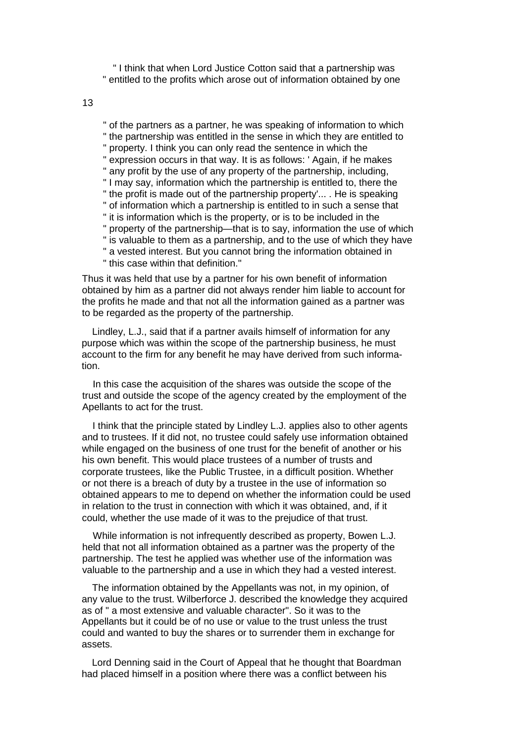" I think that when Lord Justice Cotton said that a partnership was " entitled to the profits which arose out of information obtained by one

13

" of the partners as a partner, he was speaking of information to which " the partnership was entitled in the sense in which they are entitled to " property. I think you can only read the sentence in which the " expression occurs in that way. It is as follows: ' Again, if he makes " any profit by the use of any property of the partnership, including, " I may say, information which the partnership is entitled to, there the " the profit is made out of the partnership property'... . He is speaking " of information which a partnership is entitled to in such a sense that " it is information which is the property, or is to be included in the " property of the partnership—that is to say, information the use of which " is valuable to them as a partnership, and to the use of which they have " a vested interest. But you cannot bring the information obtained in " this case within that definition."

Thus it was held that use by a partner for his own benefit of information obtained by him as a partner did not always render him liable to account for the profits he made and that not all the information gained as a partner was to be regarded as the property of the partnership.

Lindley, L.J., said that if a partner avails himself of information for any purpose which was within the scope of the partnership business, he must account to the firm for any benefit he may have derived from such information.

In this case the acquisition of the shares was outside the scope of the trust and outside the scope of the agency created by the employment of the Apellants to act for the trust.

I think that the principle stated by Lindley L.J. applies also to other agents and to trustees. If it did not, no trustee could safely use information obtained while engaged on the business of one trust for the benefit of another or his his own benefit. This would place trustees of a number of trusts and corporate trustees, like the Public Trustee, in a difficult position. Whether or not there is a breach of duty by a trustee in the use of information so obtained appears to me to depend on whether the information could be used in relation to the trust in connection with which it was obtained, and, if it could, whether the use made of it was to the prejudice of that trust.

While information is not infrequently described as property, Bowen L.J. held that not all information obtained as a partner was the property of the partnership. The test he applied was whether use of the information was valuable to the partnership and a use in which they had a vested interest.

The information obtained by the Appellants was not, in my opinion, of any value to the trust. Wilberforce J. described the knowledge they acquired as of " a most extensive and valuable character". So it was to the Appellants but it could be of no use or value to the trust unless the trust could and wanted to buy the shares or to surrender them in exchange for assets.

Lord Denning said in the Court of Appeal that he thought that Boardman had placed himself in a position where there was a conflict between his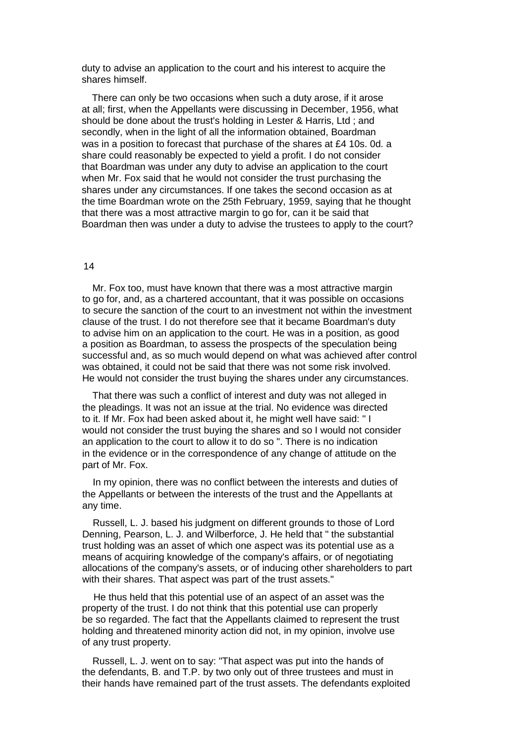duty to advise an application to the court and his interest to acquire the shares himself.

There can only be two occasions when such a duty arose, if it arose at all; first, when the Appellants were discussing in December, 1956, what should be done about the trust's holding in Lester & Harris, Ltd ; and secondly, when in the light of all the information obtained, Boardman was in a position to forecast that purchase of the shares at £4 10s. 0d. a share could reasonably be expected to yield a profit. I do not consider that Boardman was under any duty to advise an application to the court when Mr. Fox said that he would not consider the trust purchasing the shares under any circumstances. If one takes the second occasion as at the time Boardman wrote on the 25th February, 1959, saying that he thought that there was a most attractive margin to go for, can it be said that Boardman then was under a duty to advise the trustees to apply to the court?

# 14

Mr. Fox too, must have known that there was a most attractive margin to go for, and, as a chartered accountant, that it was possible on occasions to secure the sanction of the court to an investment not within the investment clause of the trust. I do not therefore see that it became Boardman's duty to advise him on an application to the court. He was in a position, as good a position as Boardman, to assess the prospects of the speculation being successful and, as so much would depend on what was achieved after control was obtained, it could not be said that there was not some risk involved. He would not consider the trust buying the shares under any circumstances.

That there was such a conflict of interest and duty was not alleged in the pleadings. It was not an issue at the trial. No evidence was directed to it. If Mr. Fox had been asked about it, he might well have said: " I would not consider the trust buying the shares and so I would not consider an application to the court to allow it to do so ". There is no indication in the evidence or in the correspondence of any change of attitude on the part of Mr. Fox.

In my opinion, there was no conflict between the interests and duties of the Appellants or between the interests of the trust and the Appellants at any time.

Russell, L. J. based his judgment on different grounds to those of Lord Denning, Pearson, L. J. and Wilberforce, J. He held that " the substantial trust holding was an asset of which one aspect was its potential use as a means of acquiring knowledge of the company's affairs, or of negotiating allocations of the company's assets, or of inducing other shareholders to part with their shares. That aspect was part of the trust assets."

He thus held that this potential use of an aspect of an asset was the property of the trust. I do not think that this potential use can properly be so regarded. The fact that the Appellants claimed to represent the trust holding and threatened minority action did not, in my opinion, involve use of any trust property.

Russell, L. J. went on to say: "That aspect was put into the hands of the defendants, B. and T.P. by two only out of three trustees and must in their hands have remained part of the trust assets. The defendants exploited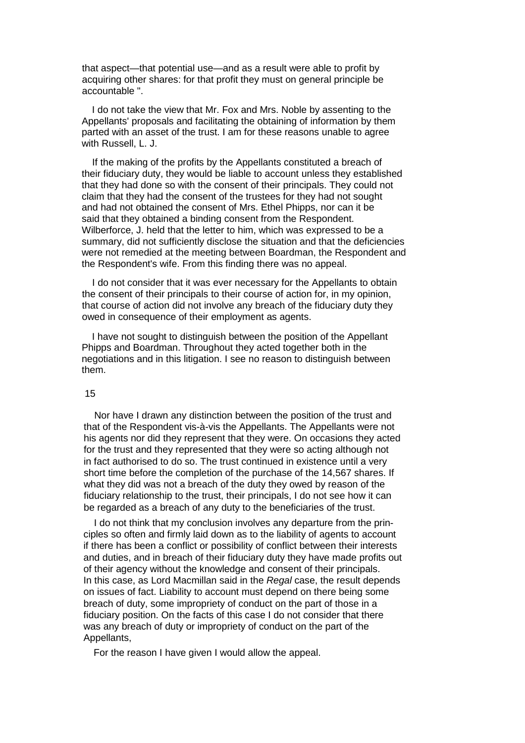that aspect—that potential use—and as a result were able to profit by acquiring other shares: for that profit they must on general principle be accountable ".

I do not take the view that Mr. Fox and Mrs. Noble by assenting to the Appellants' proposals and facilitating the obtaining of information by them parted with an asset of the trust. I am for these reasons unable to agree with Russell, L. J.

If the making of the profits by the Appellants constituted a breach of their fiduciary duty, they would be liable to account unless they established that they had done so with the consent of their principals. They could not claim that they had the consent of the trustees for they had not sought and had not obtained the consent of Mrs. Ethel Phipps, nor can it be said that they obtained a binding consent from the Respondent. Wilberforce, J. held that the letter to him, which was expressed to be a summary, did not sufficiently disclose the situation and that the deficiencies were not remedied at the meeting between Boardman, the Respondent and the Respondent's wife. From this finding there was no appeal.

I do not consider that it was ever necessary for the Appellants to obtain the consent of their principals to their course of action for, in my opinion, that course of action did not involve any breach of the fiduciary duty they owed in consequence of their employment as agents.

I have not sought to distinguish between the position of the Appellant Phipps and Boardman. Throughout they acted together both in the negotiations and in this litigation. I see no reason to distinguish between them.

### 15

Nor have I drawn any distinction between the position of the trust and that of the Respondent vis-à-vis the Appellants. The Appellants were not his agents nor did they represent that they were. On occasions they acted for the trust and they represented that they were so acting although not in fact authorised to do so. The trust continued in existence until a very short time before the completion of the purchase of the 14,567 shares. If what they did was not a breach of the duty they owed by reason of the fiduciary relationship to the trust, their principals, I do not see how it can be regarded as a breach of any duty to the beneficiaries of the trust.

I do not think that my conclusion involves any departure from the principles so often and firmly laid down as to the liability of agents to account if there has been a conflict or possibility of conflict between their interests and duties, and in breach of their fiduciary duty they have made profits out of their agency without the knowledge and consent of their principals. In this case, as Lord Macmillan said in the Regal case, the result depends on issues of fact. Liability to account must depend on there being some breach of duty, some impropriety of conduct on the part of those in a fiduciary position. On the facts of this case I do not consider that there was any breach of duty or impropriety of conduct on the part of the Appellants,

For the reason I have given I would allow the appeal.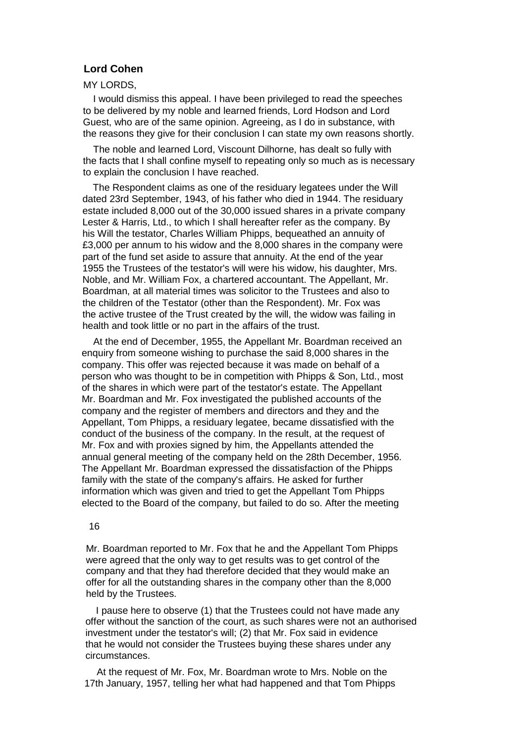# **Lord Cohen**

MY LORDS,

I would dismiss this appeal. I have been privileged to read the speeches to be delivered by my noble and learned friends, Lord Hodson and Lord Guest, who are of the same opinion. Agreeing, as I do in substance, with the reasons they give for their conclusion I can state my own reasons shortly.

The noble and learned Lord, Viscount Dilhorne, has dealt so fully with the facts that I shall confine myself to repeating only so much as is necessary to explain the conclusion I have reached.

The Respondent claims as one of the residuary legatees under the Will dated 23rd September, 1943, of his father who died in 1944. The residuary estate included 8,000 out of the 30,000 issued shares in a private company Lester & Harris, Ltd., to which I shall hereafter refer as the company. By his Will the testator, Charles William Phipps, bequeathed an annuity of £3,000 per annum to his widow and the 8,000 shares in the company were part of the fund set aside to assure that annuity. At the end of the year 1955 the Trustees of the testator's will were his widow, his daughter, Mrs. Noble, and Mr. William Fox, a chartered accountant. The Appellant, Mr. Boardman, at all material times was solicitor to the Trustees and also to the children of the Testator (other than the Respondent). Mr. Fox was the active trustee of the Trust created by the will, the widow was failing in health and took little or no part in the affairs of the trust.

At the end of December, 1955, the Appellant Mr. Boardman received an enquiry from someone wishing to purchase the said 8,000 shares in the company. This offer was rejected because it was made on behalf of a person who was thought to be in competition with Phipps & Son, Ltd., most of the shares in which were part of the testator's estate. The Appellant Mr. Boardman and Mr. Fox investigated the published accounts of the company and the register of members and directors and they and the Appellant, Tom Phipps, a residuary legatee, became dissatisfied with the conduct of the business of the company. In the result, at the request of Mr. Fox and with proxies signed by him, the Appellants attended the annual general meeting of the company held on the 28th December, 1956. The Appellant Mr. Boardman expressed the dissatisfaction of the Phipps family with the state of the company's affairs. He asked for further information which was given and tried to get the Appellant Tom Phipps elected to the Board of the company, but failed to do so. After the meeting

#### 16

Mr. Boardman reported to Mr. Fox that he and the Appellant Tom Phipps were agreed that the only way to get results was to get control of the company and that they had therefore decided that they would make an offer for all the outstanding shares in the company other than the 8,000 held by the Trustees.

I pause here to observe (1) that the Trustees could not have made any offer without the sanction of the court, as such shares were not an authorised investment under the testator's will; (2) that Mr. Fox said in evidence that he would not consider the Trustees buying these shares under any circumstances.

At the request of Mr. Fox, Mr. Boardman wrote to Mrs. Noble on the 17th January, 1957, telling her what had happened and that Tom Phipps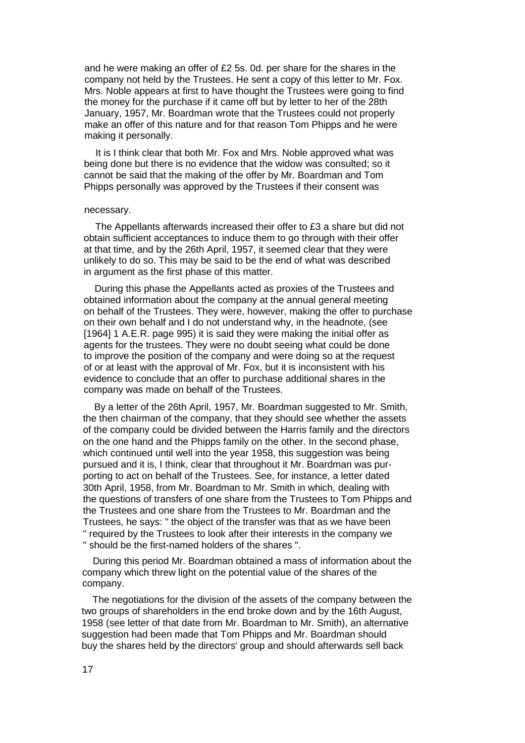and he were making an offer of £2 5s. 0d. per share for the shares in the company not held by the Trustees. He sent a copy of this letter to Mr. Fox. Mrs. Noble appears at first to have thought the Trustees were going to find the money for the purchase if it came off but by letter to her of the 28th January, 1957, Mr. Boardman wrote that the Trustees could not properly make an offer of this nature and for that reason Tom Phipps and he were making it personally.

It is I think clear that both Mr. Fox and Mrs. Noble approved what was being done but there is no evidence that the widow was consulted; so it cannot be said that the making of the offer by Mr. Boardman and Tom Phipps personally was approved by the Trustees if their consent was

### necessary.

The Appellants afterwards increased their offer to £3 a share but did not obtain sufficient acceptances to induce them to go through with their offer at that time, and by the 26th April, 1957, it seemed clear that they were unlikely to do so. This may be said to be the end of what was described in argument as the first phase of this matter.

During this phase the Appellants acted as proxies of the Trustees and obtained information about the company at the annual general meeting on behalf of the Trustees. They were, however, making the offer to purchase on their own behalf and I do not understand why, in the headnote, (see [1964] 1 A.E.R. page 995) it is said they were making the initial offer as agents for the trustees. They were no doubt seeing what could be done to improve the position of the company and were doing so at the request of or at least with the approval of Mr. Fox, but it is inconsistent with his evidence to conclude that an offer to purchase additional shares in the company was made on behalf of the Trustees.

By a letter of the 26th April, 1957, Mr. Boardman suggested to Mr. Smith, the then chairman of the company, that they should see whether the assets of the company could be divided between the Harris family and the directors on the one hand and the Phipps family on the other. In the second phase, which continued until well into the year 1958, this suggestion was being pursued and it is, I think, clear that throughout it Mr. Boardman was purporting to act on behalf of the Trustees. See, for instance, a letter dated 30th April, 1958, from Mr. Boardman to Mr. Smith in which, dealing with the questions of transfers of one share from the Trustees to Tom Phipps and the Trustees and one share from the Trustees to Mr. Boardman and the Trustees, he says: " the object of the transfer was that as we have been " required by the Trustees to look after their interests in the company we " should be the first-named holders of the shares ".

During this period Mr. Boardman obtained a mass of information about the company which threw light on the potential value of the shares of the company.

The negotiations for the division of the assets of the company between the two groups of shareholders in the end broke down and by the 16th August, 1958 (see letter of that date from Mr. Boardman to Mr. Smith), an alternative suggestion had been made that Tom Phipps and Mr. Boardman should buy the shares held by the directors' group and should afterwards sell back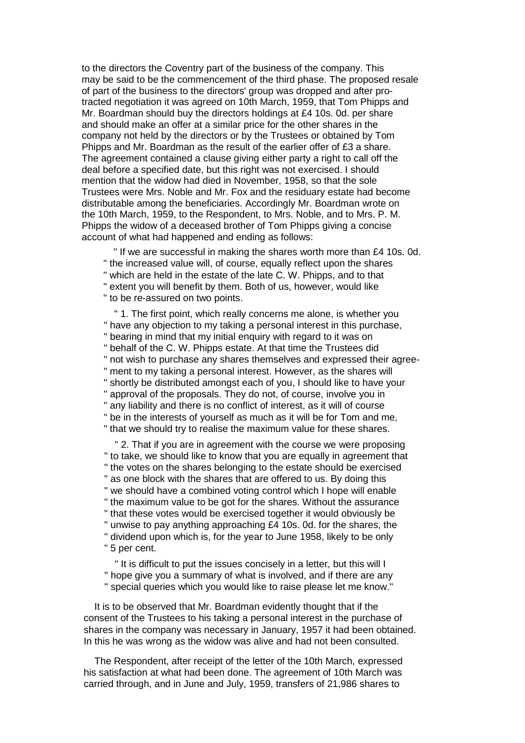to the directors the Coventry part of the business of the company. This may be said to be the commencement of the third phase. The proposed resale of part of the business to the directors' group was dropped and after protracted negotiation it was agreed on 10th March, 1959, that Tom Phipps and Mr. Boardman should buy the directors holdings at £4 10s. 0d. per share and should make an offer at a similar price for the other shares in the company not held by the directors or by the Trustees or obtained by Tom Phipps and Mr. Boardman as the result of the earlier offer of £3 a share. The agreement contained a clause giving either party a right to call off the deal before a specified date, but this right was not exercised. I should mention that the widow had died in November, 1958, so that the sole Trustees were Mrs. Noble and Mr. Fox and the residuary estate had become distributable among the beneficiaries. Accordingly Mr. Boardman wrote on the 10th March, 1959, to the Respondent, to Mrs. Noble, and to Mrs. P. M. Phipps the widow of a deceased brother of Tom Phipps giving a concise account of what had happened and ending as follows:

" If we are successful in making the shares worth more than £4 10s. 0d.

- " the increased value will, of course, equally reflect upon the shares
- " which are held in the estate of the late C. W. Phipps, and to that
- " extent you will benefit by them. Both of us, however, would like " to be re-assured on two points.

" 1. The first point, which really concerns me alone, is whether you " have any objection to my taking a personal interest in this purchase, " bearing in mind that my initial enquiry with regard to it was on " behalf of the C. W. Phipps estate. At that time the Trustees did " not wish to purchase any shares themselves and expressed their agree- " ment to my taking a personal interest. However, as the shares will " shortly be distributed amongst each of you, I should like to have your " approval of the proposals. They do not, of course, involve you in " any liability and there is no conflict of interest, as it will of course " be in the interests of yourself as much as it will be for Tom and me, " that we should try to realise the maximum value for these shares.

" 2. That if you are in agreement with the course we were proposing " to take, we should like to know that you are equally in agreement that " the votes on the shares belonging to the estate should be exercised " as one block with the shares that are offered to us. By doing this " we should have a combined voting control which I hope will enable " the maximum value to be got for the shares. Without the assurance " that these votes would be exercised together it would obviously be " unwise to pay anything approaching £4 10s. 0d. for the shares, the " dividend upon which is, for the year to June 1958, likely to be only " 5 per cent.

- " It is difficult to put the issues concisely in a letter, but this will I
- " hope give you a summary of what is involved, and if there are any
- " special queries which you would like to raise please let me know."

It is to be observed that Mr. Boardman evidently thought that if the consent of the Trustees to his taking a personal interest in the purchase of shares in the company was necessary in January, 1957 it had been obtained. In this he was wrong as the widow was alive and had not been consulted.

The Respondent, after receipt of the letter of the 10th March, expressed his satisfaction at what had been done. The agreement of 10th March was carried through, and in June and July, 1959, transfers of 21,986 shares to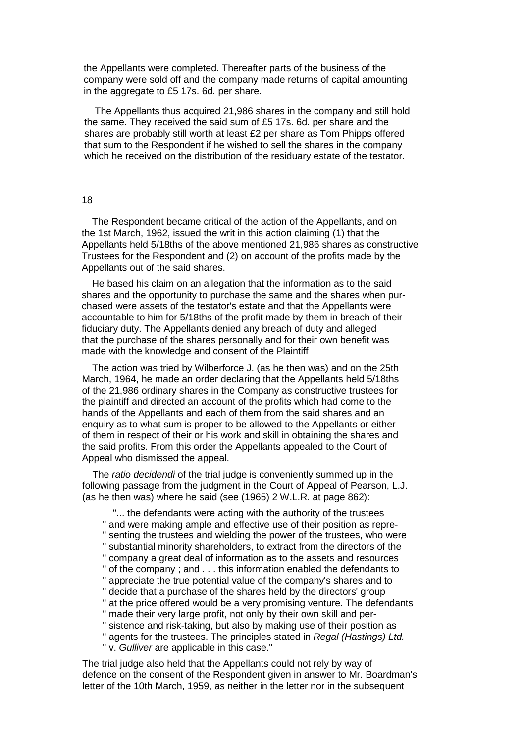the Appellants were completed. Thereafter parts of the business of the company were sold off and the company made returns of capital amounting in the aggregate to £5 17s. 6d. per share.

The Appellants thus acquired 21,986 shares in the company and still hold the same. They received the said sum of £5 17s. 6d. per share and the shares are probably still worth at least £2 per share as Tom Phipps offered that sum to the Respondent if he wished to sell the shares in the company which he received on the distribution of the residuary estate of the testator.

### 18

The Respondent became critical of the action of the Appellants, and on the 1st March, 1962, issued the writ in this action claiming (1) that the Appellants held 5/18ths of the above mentioned 21,986 shares as constructive Trustees for the Respondent and (2) on account of the profits made by the Appellants out of the said shares.

He based his claim on an allegation that the information as to the said shares and the opportunity to purchase the same and the shares when purchased were assets of the testator's estate and that the Appellants were accountable to him for 5/18ths of the profit made by them in breach of their fiduciary duty. The Appellants denied any breach of duty and alleged that the purchase of the shares personally and for their own benefit was made with the knowledge and consent of the Plaintiff

The action was tried by Wilberforce J. (as he then was) and on the 25th March, 1964, he made an order declaring that the Appellants held 5/18ths of the 21,986 ordinary shares in the Company as constructive trustees for the plaintiff and directed an account of the profits which had come to the hands of the Appellants and each of them from the said shares and an enquiry as to what sum is proper to be allowed to the Appellants or either of them in respect of their or his work and skill in obtaining the shares and the said profits. From this order the Appellants appealed to the Court of Appeal who dismissed the appeal.

The ratio decidendi of the trial judge is conveniently summed up in the following passage from the judgment in the Court of Appeal of Pearson, L.J. (as he then was) where he said (see (1965) 2 W.L.R. at page 862):

"... the defendants were acting with the authority of the trustees " and were making ample and effective use of their position as repre- " senting the trustees and wielding the power of the trustees, who were " substantial minority shareholders, to extract from the directors of the " company a great deal of information as to the assets and resources " of the company ; and . . . this information enabled the defendants to " appreciate the true potential value of the company's shares and to " decide that a purchase of the shares held by the directors' group " at the price offered would be a very promising venture. The defendants " made their very large profit, not only by their own skill and per- " sistence and risk-taking, but also by making use of their position as " agents for the trustees. The principles stated in Regal (Hastings) Ltd. " v. Gulliver are applicable in this case."

The trial judge also held that the Appellants could not rely by way of defence on the consent of the Respondent given in answer to Mr. Boardman's letter of the 10th March, 1959, as neither in the letter nor in the subsequent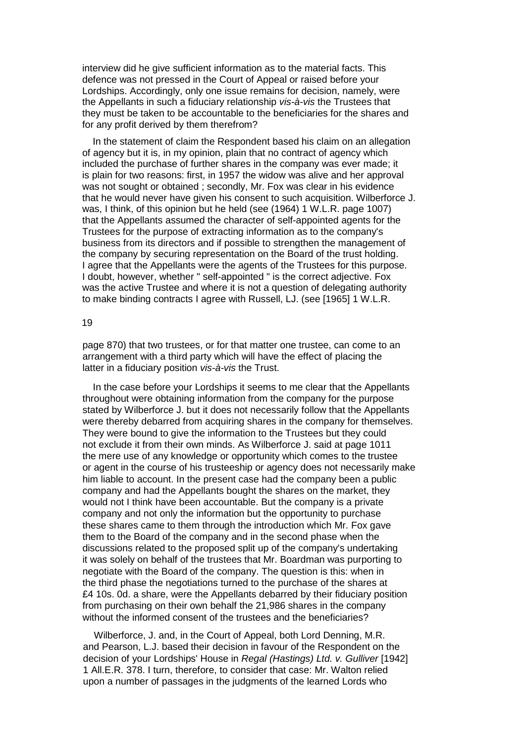interview did he give sufficient information as to the material facts. This defence was not pressed in the Court of Appeal or raised before your Lordships. Accordingly, only one issue remains for decision, namely, were the Appellants in such a fiduciary relationship vis-à-vis the Trustees that they must be taken to be accountable to the beneficiaries for the shares and for any profit derived by them therefrom?

In the statement of claim the Respondent based his claim on an allegation of agency but it is, in my opinion, plain that no contract of agency which included the purchase of further shares in the company was ever made; it is plain for two reasons: first, in 1957 the widow was alive and her approval was not sought or obtained ; secondly, Mr. Fox was clear in his evidence that he would never have given his consent to such acquisition. Wilberforce J. was, I think, of this opinion but he held (see (1964) 1 W.L.R. page 1007) that the Appellants assumed the character of self-appointed agents for the Trustees for the purpose of extracting information as to the company's business from its directors and if possible to strengthen the management of the company by securing representation on the Board of the trust holding. I agree that the Appellants were the agents of the Trustees for this purpose. I doubt, however, whether " self-appointed " is the correct adjective. Fox was the active Trustee and where it is not a question of delegating authority to make binding contracts I agree with Russell, LJ. (see [1965] 1 W.L.R.

#### 19

page 870) that two trustees, or for that matter one trustee, can come to an arrangement with a third party which will have the effect of placing the latter in a fiduciary position vis-à-vis the Trust.

In the case before your Lordships it seems to me clear that the Appellants throughout were obtaining information from the company for the purpose stated by Wilberforce J. but it does not necessarily follow that the Appellants were thereby debarred from acquiring shares in the company for themselves. They were bound to give the information to the Trustees but they could not exclude it from their own minds. As Wilberforce J. said at page 1011 the mere use of any knowledge or opportunity which comes to the trustee or agent in the course of his trusteeship or agency does not necessarily make him liable to account. In the present case had the company been a public company and had the Appellants bought the shares on the market, they would not I think have been accountable. But the company is a private company and not only the information but the opportunity to purchase these shares came to them through the introduction which Mr. Fox gave them to the Board of the company and in the second phase when the discussions related to the proposed split up of the company's undertaking it was solely on behalf of the trustees that Mr. Boardman was purporting to negotiate with the Board of the company. The question is this: when in the third phase the negotiations turned to the purchase of the shares at £4 10s. 0d. a share, were the Appellants debarred by their fiduciary position from purchasing on their own behalf the 21,986 shares in the company without the informed consent of the trustees and the beneficiaries?

Wilberforce, J. and, in the Court of Appeal, both Lord Denning, M.R. and Pearson, L.J. based their decision in favour of the Respondent on the decision of your Lordships' House in Regal (Hastings) Ltd. v. Gulliver [1942] 1 All.E.R. 378. I turn, therefore, to consider that case: Mr. Walton relied upon a number of passages in the judgments of the learned Lords who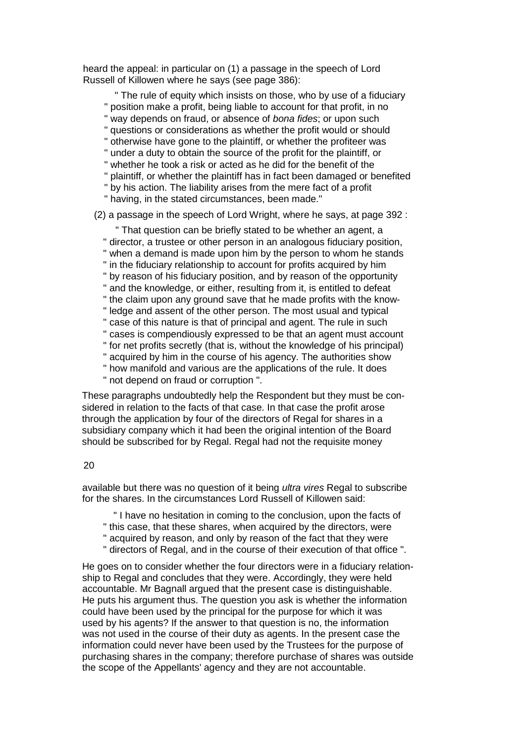heard the appeal: in particular on (1) a passage in the speech of Lord Russell of Killowen where he says (see page 386):

" The rule of equity which insists on those, who by use of a fiduciary

- " position make a profit, being liable to account for that profit, in no
- " way depends on fraud, or absence of bona fides; or upon such
- " questions or considerations as whether the profit would or should
- " otherwise have gone to the plaintiff, or whether the profiteer was
- " under a duty to obtain the source of the profit for the plaintiff, or
- " whether he took a risk or acted as he did for the benefit of the
- " plaintiff, or whether the plaintiff has in fact been damaged or benefited
- " by his action. The liability arises from the mere fact of a profit

" having, in the stated circumstances, been made."

(2) a passage in the speech of Lord Wright, where he says, at page 392 :

" That question can be briefly stated to be whether an agent, a " director, a trustee or other person in an analogous fiduciary position, " when a demand is made upon him by the person to whom he stands " in the fiduciary relationship to account for profits acquired by him " by reason of his fiduciary position, and by reason of the opportunity " and the knowledge, or either, resulting from it, is entitled to defeat " the claim upon any ground save that he made profits with the know- " ledge and assent of the other person. The most usual and typical " case of this nature is that of principal and agent. The rule in such " cases is compendiously expressed to be that an agent must account " for net profits secretly (that is, without the knowledge of his principal) " acquired by him in the course of his agency. The authorities show " how manifold and various are the applications of the rule. It does

" not depend on fraud or corruption ".

These paragraphs undoubtedly help the Respondent but they must be considered in relation to the facts of that case. In that case the profit arose through the application by four of the directors of Regal for shares in a subsidiary company which it had been the original intention of the Board should be subscribed for by Regal. Regal had not the requisite money

# 20

available but there was no question of it being ultra vires Regal to subscribe for the shares. In the circumstances Lord Russell of Killowen said:

" I have no hesitation in coming to the conclusion, upon the facts of

" this case, that these shares, when acquired by the directors, were

- " acquired by reason, and only by reason of the fact that they were
- " directors of Regal, and in the course of their execution of that office ".

He goes on to consider whether the four directors were in a fiduciary relationship to Regal and concludes that they were. Accordingly, they were held accountable. Mr Bagnall argued that the present case is distinguishable. He puts his argument thus. The question you ask is whether the information could have been used by the principal for the purpose for which it was used by his agents? If the answer to that question is no, the information was not used in the course of their duty as agents. In the present case the information could never have been used by the Trustees for the purpose of purchasing shares in the company; therefore purchase of shares was outside the scope of the Appellants' agency and they are not accountable.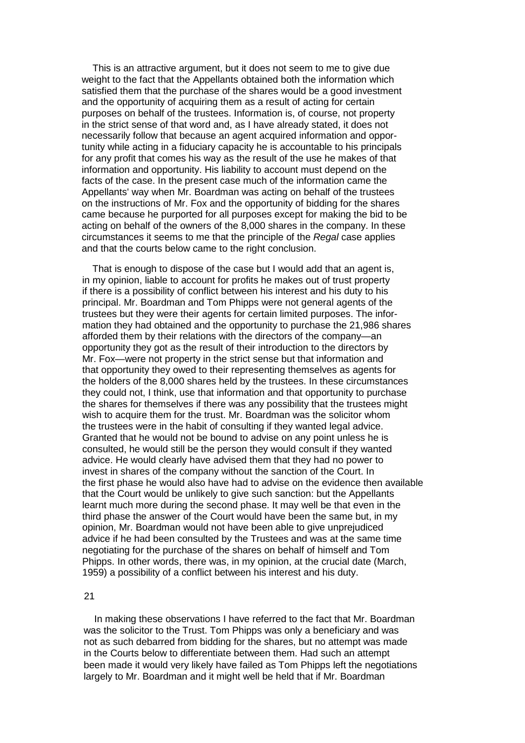This is an attractive argument, but it does not seem to me to give due weight to the fact that the Appellants obtained both the information which satisfied them that the purchase of the shares would be a good investment and the opportunity of acquiring them as a result of acting for certain purposes on behalf of the trustees. Information is, of course, not property in the strict sense of that word and, as I have already stated, it does not necessarily follow that because an agent acquired information and opportunity while acting in a fiduciary capacity he is accountable to his principals for any profit that comes his way as the result of the use he makes of that information and opportunity. His liability to account must depend on the facts of the case. In the present case much of the information came the Appellants' way when Mr. Boardman was acting on behalf of the trustees on the instructions of Mr. Fox and the opportunity of bidding for the shares came because he purported for all purposes except for making the bid to be acting on behalf of the owners of the 8,000 shares in the company. In these circumstances it seems to me that the principle of the Regal case applies and that the courts below came to the right conclusion.

That is enough to dispose of the case but I would add that an agent is, in my opinion, liable to account for profits he makes out of trust property if there is a possibility of conflict between his interest and his duty to his principal. Mr. Boardman and Tom Phipps were not general agents of the trustees but they were their agents for certain limited purposes. The information they had obtained and the opportunity to purchase the 21,986 shares afforded them by their relations with the directors of the company—an opportunity they got as the result of their introduction to the directors by Mr. Fox—were not property in the strict sense but that information and that opportunity they owed to their representing themselves as agents for the holders of the 8,000 shares held by the trustees. In these circumstances they could not, I think, use that information and that opportunity to purchase the shares for themselves if there was any possibility that the trustees might wish to acquire them for the trust. Mr. Boardman was the solicitor whom the trustees were in the habit of consulting if they wanted legal advice. Granted that he would not be bound to advise on any point unless he is consulted, he would still be the person they would consult if they wanted advice. He would clearly have advised them that they had no power to invest in shares of the company without the sanction of the Court. In the first phase he would also have had to advise on the evidence then available that the Court would be unlikely to give such sanction: but the Appellants learnt much more during the second phase. It may well be that even in the third phase the answer of the Court would have been the same but, in my opinion, Mr. Boardman would not have been able to give unprejudiced advice if he had been consulted by the Trustees and was at the same time negotiating for the purchase of the shares on behalf of himself and Tom Phipps. In other words, there was, in my opinion, at the crucial date (March, 1959) a possibility of a conflict between his interest and his duty.

# 21

In making these observations I have referred to the fact that Mr. Boardman was the solicitor to the Trust. Tom Phipps was only a beneficiary and was not as such debarred from bidding for the shares, but no attempt was made in the Courts below to differentiate between them. Had such an attempt been made it would very likely have failed as Tom Phipps left the negotiations largely to Mr. Boardman and it might well be held that if Mr. Boardman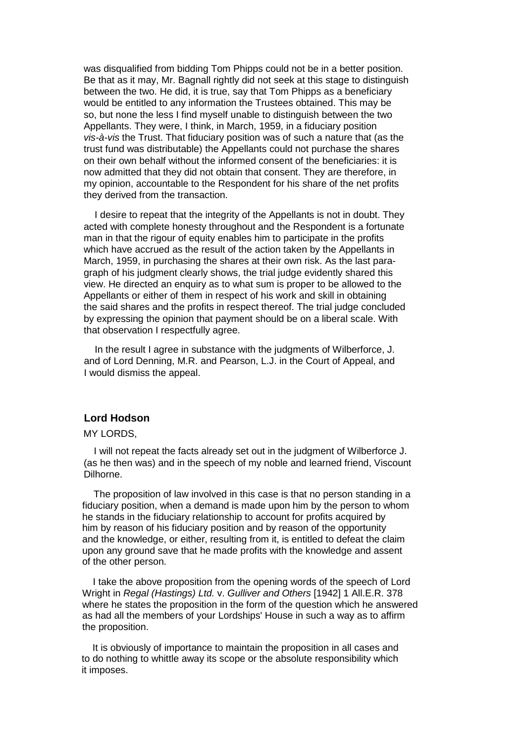was disqualified from bidding Tom Phipps could not be in a better position. Be that as it may, Mr. Bagnall rightly did not seek at this stage to distinguish between the two. He did, it is true, say that Tom Phipps as a beneficiary would be entitled to any information the Trustees obtained. This may be so, but none the less I find myself unable to distinguish between the two Appellants. They were, I think, in March, 1959, in a fiduciary position vis-à-vis the Trust. That fiduciary position was of such a nature that (as the trust fund was distributable) the Appellants could not purchase the shares on their own behalf without the informed consent of the beneficiaries: it is now admitted that they did not obtain that consent. They are therefore, in my opinion, accountable to the Respondent for his share of the net profits they derived from the transaction.

I desire to repeat that the integrity of the Appellants is not in doubt. They acted with complete honesty throughout and the Respondent is a fortunate man in that the rigour of equity enables him to participate in the profits which have accrued as the result of the action taken by the Appellants in March, 1959, in purchasing the shares at their own risk. As the last paragraph of his judgment clearly shows, the trial judge evidently shared this view. He directed an enquiry as to what sum is proper to be allowed to the Appellants or either of them in respect of his work and skill in obtaining the said shares and the profits in respect thereof. The trial judge concluded by expressing the opinion that payment should be on a liberal scale. With that observation I respectfully agree.

In the result I agree in substance with the judgments of Wilberforce, J. and of Lord Denning, M.R. and Pearson, L.J. in the Court of Appeal, and I would dismiss the appeal.

# **Lord Hodson**

### MY LORDS,

I will not repeat the facts already set out in the judgment of Wilberforce J. (as he then was) and in the speech of my noble and learned friend, Viscount Dilhorne.

The proposition of law involved in this case is that no person standing in a fiduciary position, when a demand is made upon him by the person to whom he stands in the fiduciary relationship to account for profits acquired by him by reason of his fiduciary position and by reason of the opportunity and the knowledge, or either, resulting from it, is entitled to defeat the claim upon any ground save that he made profits with the knowledge and assent of the other person.

I take the above proposition from the opening words of the speech of Lord Wright in Regal (Hastings) Ltd. v. Gulliver and Others [1942] 1 All.E.R. 378 where he states the proposition in the form of the question which he answered as had all the members of your Lordships' House in such a way as to affirm the proposition.

It is obviously of importance to maintain the proposition in all cases and to do nothing to whittle away its scope or the absolute responsibility which it imposes.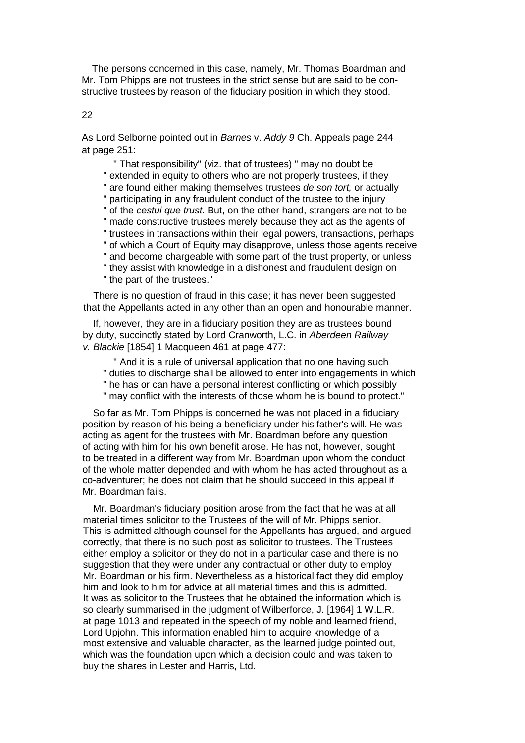The persons concerned in this case, namely, Mr. Thomas Boardman and Mr. Tom Phipps are not trustees in the strict sense but are said to be constructive trustees by reason of the fiduciary position in which they stood.

### 22

As Lord Selborne pointed out in Barnes v. Addy 9 Ch. Appeals page 244 at page 251:

" That responsibility" (viz. that of trustees) " may no doubt be " extended in equity to others who are not properly trustees, if they " are found either making themselves trustees de son tort, or actually " participating in any fraudulent conduct of the trustee to the injury " of the cestui que trust. But, on the other hand, strangers are not to be " made constructive trustees merely because they act as the agents of " trustees in transactions within their legal powers, transactions, perhaps " of which a Court of Equity may disapprove, unless those agents receive " and become chargeable with some part of the trust property, or unless " they assist with knowledge in a dishonest and fraudulent design on " the part of the trustees."

There is no question of fraud in this case; it has never been suggested that the Appellants acted in any other than an open and honourable manner.

If, however, they are in a fiduciary position they are as trustees bound by duty, succinctly stated by Lord Cranworth, L.C. in Aberdeen Railway v. Blackie [1854] 1 Macqueen 461 at page 477:

" And it is a rule of universal application that no one having such

- " duties to discharge shall be allowed to enter into engagements in which
- " he has or can have a personal interest conflicting or which possibly
- " may conflict with the interests of those whom he is bound to protect."

So far as Mr. Tom Phipps is concerned he was not placed in a fiduciary position by reason of his being a beneficiary under his father's will. He was acting as agent for the trustees with Mr. Boardman before any question of acting with him for his own benefit arose. He has not, however, sought to be treated in a different way from Mr. Boardman upon whom the conduct of the whole matter depended and with whom he has acted throughout as a co-adventurer; he does not claim that he should succeed in this appeal if Mr. Boardman fails.

Mr. Boardman's fiduciary position arose from the fact that he was at all material times solicitor to the Trustees of the will of Mr. Phipps senior. This is admitted although counsel for the Appellants has argued, and argued correctly, that there is no such post as solicitor to trustees. The Trustees either employ a solicitor or they do not in a particular case and there is no suggestion that they were under any contractual or other duty to employ Mr. Boardman or his firm. Nevertheless as a historical fact they did employ him and look to him for advice at all material times and this is admitted. It was as solicitor to the Trustees that he obtained the information which is so clearly summarised in the judgment of Wilberforce, J. [1964] 1 W.L.R. at page 1013 and repeated in the speech of my noble and learned friend, Lord Upjohn. This information enabled him to acquire knowledge of a most extensive and valuable character, as the learned judge pointed out, which was the foundation upon which a decision could and was taken to buy the shares in Lester and Harris, Ltd.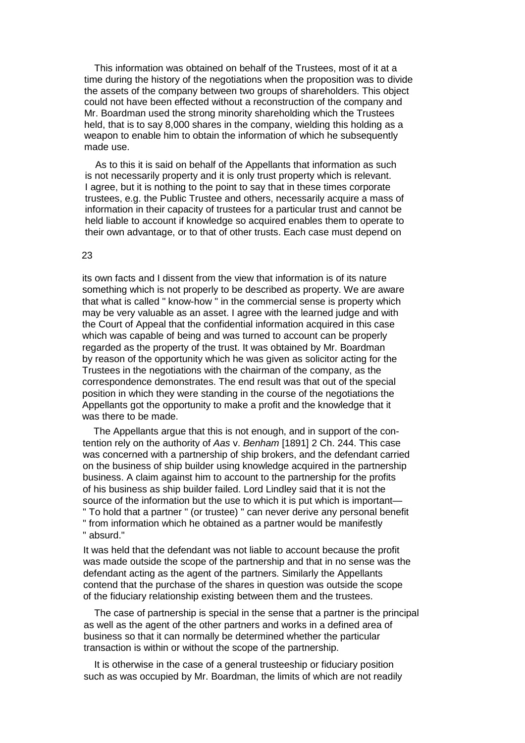This information was obtained on behalf of the Trustees, most of it at a time during the history of the negotiations when the proposition was to divide the assets of the company between two groups of shareholders. This object could not have been effected without a reconstruction of the company and Mr. Boardman used the strong minority shareholding which the Trustees held, that is to say 8,000 shares in the company, wielding this holding as a weapon to enable him to obtain the information of which he subsequently made use.

As to this it is said on behalf of the Appellants that information as such is not necessarily property and it is only trust property which is relevant. I agree, but it is nothing to the point to say that in these times corporate trustees, e.g. the Public Trustee and others, necessarily acquire a mass of information in their capacity of trustees for a particular trust and cannot be held liable to account if knowledge so acquired enables them to operate to their own advantage, or to that of other trusts. Each case must depend on

### 23

its own facts and I dissent from the view that information is of its nature something which is not properly to be described as property. We are aware that what is called " know-how " in the commercial sense is property which may be very valuable as an asset. I agree with the learned judge and with the Court of Appeal that the confidential information acquired in this case which was capable of being and was turned to account can be properly regarded as the property of the trust. It was obtained by Mr. Boardman by reason of the opportunity which he was given as solicitor acting for the Trustees in the negotiations with the chairman of the company, as the correspondence demonstrates. The end result was that out of the special position in which they were standing in the course of the negotiations the Appellants got the opportunity to make a profit and the knowledge that it was there to be made.

The Appellants argue that this is not enough, and in support of the contention rely on the authority of Aas v. Benham [1891] 2 Ch. 244. This case was concerned with a partnership of ship brokers, and the defendant carried on the business of ship builder using knowledge acquired in the partnership business. A claim against him to account to the partnership for the profits of his business as ship builder failed. Lord Lindley said that it is not the source of the information but the use to which it is put which is important— " To hold that a partner " (or trustee) " can never derive any personal benefit " from information which he obtained as a partner would be manifestly " absurd."

It was held that the defendant was not liable to account because the profit was made outside the scope of the partnership and that in no sense was the defendant acting as the agent of the partners. Similarly the Appellants contend that the purchase of the shares in question was outside the scope of the fiduciary relationship existing between them and the trustees.

The case of partnership is special in the sense that a partner is the principal as well as the agent of the other partners and works in a defined area of business so that it can normally be determined whether the particular transaction is within or without the scope of the partnership.

It is otherwise in the case of a general trusteeship or fiduciary position such as was occupied by Mr. Boardman, the limits of which are not readily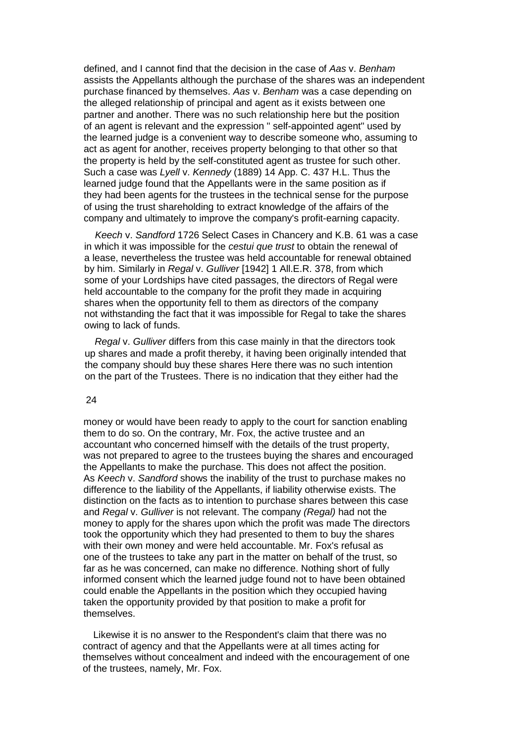defined, and I cannot find that the decision in the case of Aas v. Benham assists the Appellants although the purchase of the shares was an independent purchase financed by themselves. Aas v. Benham was a case depending on the alleged relationship of principal and agent as it exists between one partner and another. There was no such relationship here but the position of an agent is relevant and the expression " self-appointed agent" used by the learned judge is a convenient way to describe someone who, assuming to act as agent for another, receives property belonging to that other so that the property is held by the self-constituted agent as trustee for such other. Such a case was Lyell v. Kennedy (1889) 14 App. C. 437 H.L. Thus the learned judge found that the Appellants were in the same position as if they had been agents for the trustees in the technical sense for the purpose of using the trust shareholding to extract knowledge of the affairs of the company and ultimately to improve the company's profit-earning capacity.

Keech v. Sandford 1726 Select Cases in Chancery and K.B. 61 was a case in which it was impossible for the cestui que trust to obtain the renewal of a lease, nevertheless the trustee was held accountable for renewal obtained by him. Similarly in Regal v. Gulliver [1942] 1 All.E.R. 378, from which some of your Lordships have cited passages, the directors of Regal were held accountable to the company for the profit they made in acquiring shares when the opportunity fell to them as directors of the company not withstanding the fact that it was impossible for Regal to take the shares owing to lack of funds.

Regal v. Gulliver differs from this case mainly in that the directors took up shares and made a profit thereby, it having been originally intended that the company should buy these shares Here there was no such intention on the part of the Trustees. There is no indication that they either had the

#### 24

money or would have been ready to apply to the court for sanction enabling them to do so. On the contrary, Mr. Fox, the active trustee and an accountant who concerned himself with the details of the trust property, was not prepared to agree to the trustees buying the shares and encouraged the Appellants to make the purchase. This does not affect the position. As Keech v. Sandford shows the inability of the trust to purchase makes no difference to the liability of the Appellants, if liability otherwise exists. The distinction on the facts as to intention to purchase shares between this case and Regal v. Gulliver is not relevant. The company (Regal) had not the money to apply for the shares upon which the profit was made The directors took the opportunity which they had presented to them to buy the shares with their own money and were held accountable. Mr. Fox's refusal as one of the trustees to take any part in the matter on behalf of the trust, so far as he was concerned, can make no difference. Nothing short of fully informed consent which the learned judge found not to have been obtained could enable the Appellants in the position which they occupied having taken the opportunity provided by that position to make a profit for themselves.

Likewise it is no answer to the Respondent's claim that there was no contract of agency and that the Appellants were at all times acting for themselves without concealment and indeed with the encouragement of one of the trustees, namely, Mr. Fox.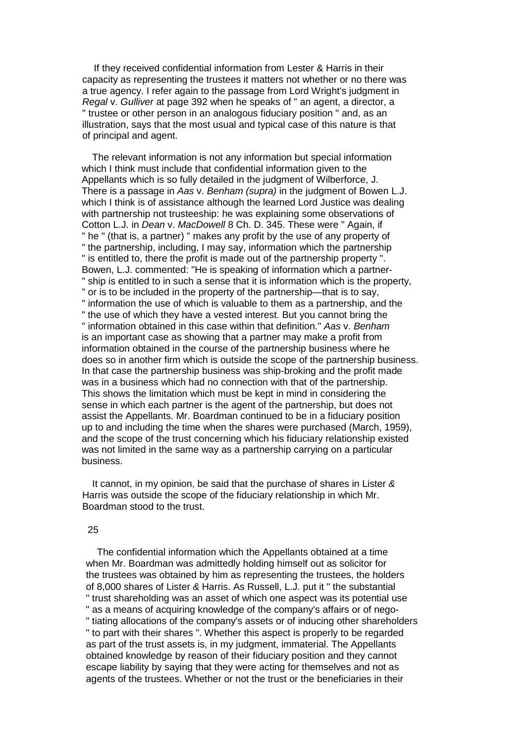If they received confidential information from Lester & Harris in their capacity as representing the trustees it matters not whether or no there was a true agency. I refer again to the passage from Lord Wright's judgment in Regal v. Gulliver at page 392 when he speaks of " an agent, a director, a " trustee or other person in an analogous fiduciary position " and, as an illustration, says that the most usual and typical case of this nature is that of principal and agent.

The relevant information is not any information but special information which I think must include that confidential information given to the Appellants which is so fully detailed in the judgment of Wilberforce, J. There is a passage in Aas v. Benham (supra) in the judgment of Bowen L.J. which I think is of assistance although the learned Lord Justice was dealing with partnership not trusteeship: he was explaining some observations of Cotton L.J. in Dean v. MacDowell 8 Ch. D. 345. These were " Again, if " he " (that is, a partner) " makes any profit by the use of any property of " the partnership, including, I may say, information which the partnership " is entitled to, there the profit is made out of the partnership property ". Bowen, L.J. commented: "He is speaking of information which a partner- " ship is entitled to in such a sense that it is information which is the property, " or is to be included in the property of the partnership—that is to say, " information the use of which is valuable to them as a partnership, and the " the use of which they have a vested interest. But you cannot bring the " information obtained in this case within that definition." Aas v. Benham is an important case as showing that a partner may make a profit from information obtained in the course of the partnership business where he does so in another firm which is outside the scope of the partnership business. In that case the partnership business was ship-broking and the profit made was in a business which had no connection with that of the partnership. This shows the limitation which must be kept in mind in considering the sense in which each partner is the agent of the partnership, but does not assist the Appellants. Mr. Boardman continued to be in a fiduciary position up to and including the time when the shares were purchased (March, 1959), and the scope of the trust concerning which his fiduciary relationship existed was not limited in the same way as a partnership carrying on a particular business.

It cannot, in my opinion, be said that the purchase of shares in Lister & Harris was outside the scope of the fiduciary relationship in which Mr. Boardman stood to the trust.

# 25

The confidential information which the Appellants obtained at a time when Mr. Boardman was admittedly holding himself out as solicitor for the trustees was obtained by him as representing the trustees, the holders of 8,000 shares of Lister & Harris. As Russell, L.J. put it " the substantial " trust shareholding was an asset of which one aspect was its potential use " as a means of acquiring knowledge of the company's affairs or of nego- " tiating allocations of the company's assets or of inducing other shareholders " to part with their shares ". Whether this aspect is properly to be regarded as part of the trust assets is, in my judgment, immaterial. The Appellants obtained knowledge by reason of their fiduciary position and they cannot escape liability by saying that they were acting for themselves and not as agents of the trustees. Whether or not the trust or the beneficiaries in their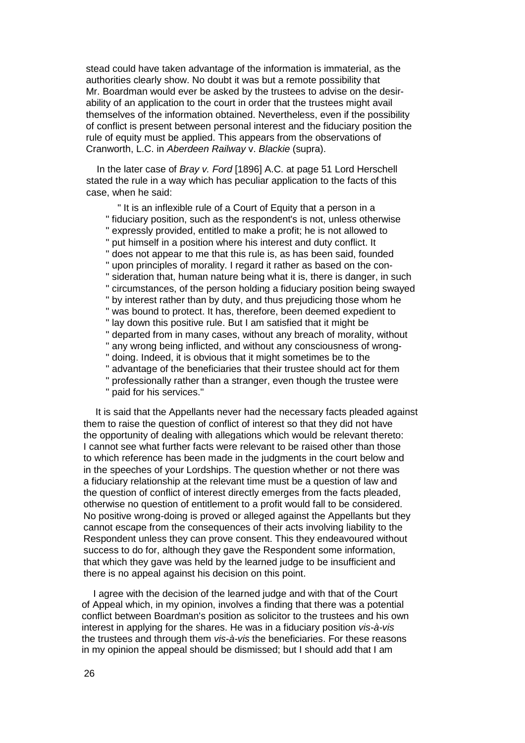stead could have taken advantage of the information is immaterial, as the authorities clearly show. No doubt it was but a remote possibility that Mr. Boardman would ever be asked by the trustees to advise on the desirability of an application to the court in order that the trustees might avail themselves of the information obtained. Nevertheless, even if the possibility of conflict is present between personal interest and the fiduciary position the rule of equity must be applied. This appears from the observations of Cranworth, L.C. in Aberdeen Railway v. Blackie (supra).

In the later case of Bray v. Ford [1896] A.C. at page 51 Lord Herschell stated the rule in a way which has peculiar application to the facts of this case, when he said:

" It is an inflexible rule of a Court of Equity that a person in a " fiduciary position, such as the respondent's is not, unless otherwise " expressly provided, entitled to make a profit; he is not allowed to " put himself in a position where his interest and duty conflict. It " does not appear to me that this rule is, as has been said, founded " upon principles of morality. I regard it rather as based on the con- " sideration that, human nature being what it is, there is danger, in such " circumstances, of the person holding a fiduciary position being swayed " by interest rather than by duty, and thus prejudicing those whom he " was bound to protect. It has, therefore, been deemed expedient to " lay down this positive rule. But I am satisfied that it might be " departed from in many cases, without any breach of morality, without " any wrong being inflicted, and without any consciousness of wrong- " doing. Indeed, it is obvious that it might sometimes be to the " advantage of the beneficiaries that their trustee should act for them

- " professionally rather than a stranger, even though the trustee were
- " paid for his services."

It is said that the Appellants never had the necessary facts pleaded against them to raise the question of conflict of interest so that they did not have the opportunity of dealing with allegations which would be relevant thereto: I cannot see what further facts were relevant to be raised other than those to which reference has been made in the judgments in the court below and in the speeches of your Lordships. The question whether or not there was a fiduciary relationship at the relevant time must be a question of law and the question of conflict of interest directly emerges from the facts pleaded, otherwise no question of entitlement to a profit would fall to be considered. No positive wrong-doing is proved or alleged against the Appellants but they cannot escape from the consequences of their acts involving liability to the Respondent unless they can prove consent. This they endeavoured without success to do for, although they gave the Respondent some information, that which they gave was held by the learned judge to be insufficient and there is no appeal against his decision on this point.

I agree with the decision of the learned judge and with that of the Court of Appeal which, in my opinion, involves a finding that there was a potential conflict between Boardman's position as solicitor to the trustees and his own interest in applying for the shares. He was in a fiduciary position vis-à-vis the trustees and through them vis-à-vis the beneficiaries. For these reasons in my opinion the appeal should be dismissed; but I should add that I am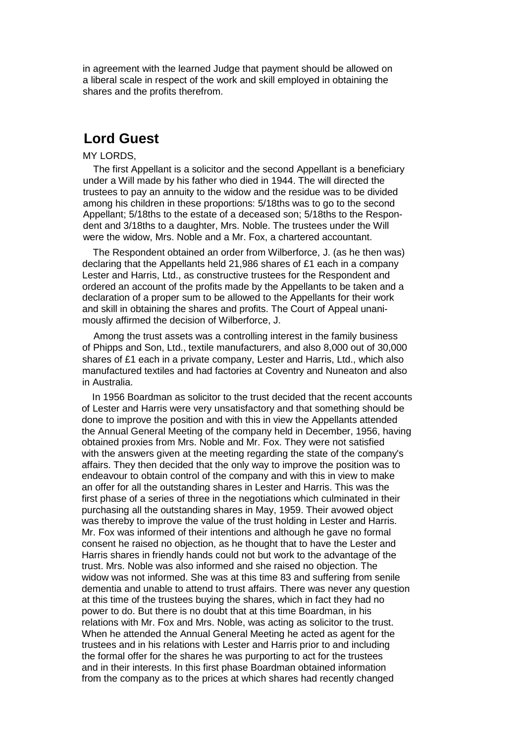in agreement with the learned Judge that payment should be allowed on a liberal scale in respect of the work and skill employed in obtaining the shares and the profits therefrom.

# **Lord Guest**

# MY LORDS,

The first Appellant is a solicitor and the second Appellant is a beneficiary under a Will made by his father who died in 1944. The will directed the trustees to pay an annuity to the widow and the residue was to be divided among his children in these proportions: 5/18ths was to go to the second Appellant; 5/18ths to the estate of a deceased son; 5/18ths to the Respondent and 3/18ths to a daughter, Mrs. Noble. The trustees under the Will were the widow, Mrs. Noble and a Mr. Fox, a chartered accountant.

The Respondent obtained an order from Wilberforce, J. (as he then was) declaring that the Appellants held 21,986 shares of £1 each in a company Lester and Harris, Ltd., as constructive trustees for the Respondent and ordered an account of the profits made by the Appellants to be taken and a declaration of a proper sum to be allowed to the Appellants for their work and skill in obtaining the shares and profits. The Court of Appeal unanimously affirmed the decision of Wilberforce, J.

Among the trust assets was a controlling interest in the family business of Phipps and Son, Ltd., textile manufacturers, and also 8,000 out of 30,000 shares of £1 each in a private company, Lester and Harris, Ltd., which also manufactured textiles and had factories at Coventry and Nuneaton and also in Australia.

In 1956 Boardman as solicitor to the trust decided that the recent accounts of Lester and Harris were very unsatisfactory and that something should be done to improve the position and with this in view the Appellants attended the Annual General Meeting of the company held in December, 1956, having obtained proxies from Mrs. Noble and Mr. Fox. They were not satisfied with the answers given at the meeting regarding the state of the company's affairs. They then decided that the only way to improve the position was to endeavour to obtain control of the company and with this in view to make an offer for all the outstanding shares in Lester and Harris. This was the first phase of a series of three in the negotiations which culminated in their purchasing all the outstanding shares in May, 1959. Their avowed object was thereby to improve the value of the trust holding in Lester and Harris. Mr. Fox was informed of their intentions and although he gave no formal consent he raised no objection, as he thought that to have the Lester and Harris shares in friendly hands could not but work to the advantage of the trust. Mrs. Noble was also informed and she raised no objection. The widow was not informed. She was at this time 83 and suffering from senile dementia and unable to attend to trust affairs. There was never any question at this time of the trustees buying the shares, which in fact they had no power to do. But there is no doubt that at this time Boardman, in his relations with Mr. Fox and Mrs. Noble, was acting as solicitor to the trust. When he attended the Annual General Meeting he acted as agent for the trustees and in his relations with Lester and Harris prior to and including the formal offer for the shares he was purporting to act for the trustees and in their interests. In this first phase Boardman obtained information from the company as to the prices at which shares had recently changed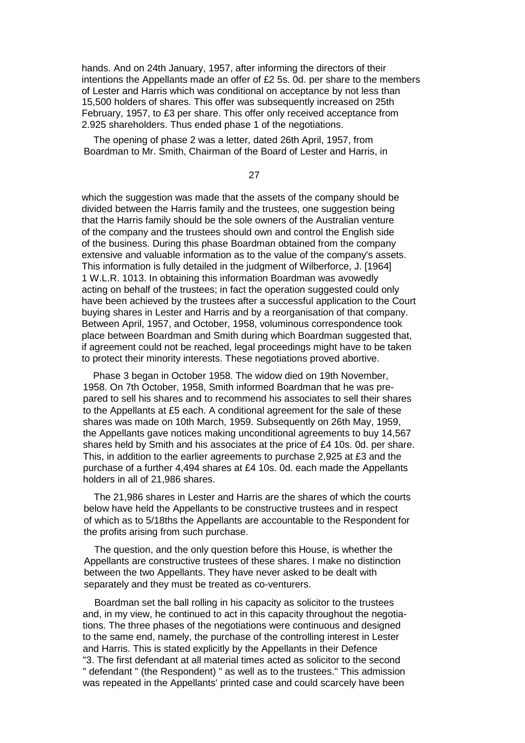hands. And on 24th January, 1957, after informing the directors of their intentions the Appellants made an offer of £2 5s. 0d. per share to the members of Lester and Harris which was conditional on acceptance by not less than 15,500 holders of shares. This offer was subsequently increased on 25th February, 1957, to £3 per share. This offer only received acceptance from 2.925 shareholders. Thus ended phase 1 of the negotiations.

The opening of phase 2 was a letter, dated 26th April, 1957, from Boardman to Mr. Smith, Chairman of the Board of Lester and Harris, in

27

which the suggestion was made that the assets of the company should be divided between the Harris family and the trustees, one suggestion being that the Harris family should be the sole owners of the Australian venture of the company and the trustees should own and control the English side of the business. During this phase Boardman obtained from the company extensive and valuable information as to the value of the company's assets. This information is fully detailed in the judgment of Wilberforce, J. [1964] 1 W.L.R. 1013. In obtaining this information Boardman was avowedly acting on behalf of the trustees; in fact the operation suggested could only have been achieved by the trustees after a successful application to the Court buying shares in Lester and Harris and by a reorganisation of that company. Between April, 1957, and October, 1958, voluminous correspondence took place between Boardman and Smith during which Boardman suggested that, if agreement could not be reached, legal proceedings might have to be taken to protect their minority interests. These negotiations proved abortive.

Phase 3 began in October 1958. The widow died on 19th November, 1958. On 7th October, 1958, Smith informed Boardman that he was prepared to sell his shares and to recommend his associates to sell their shares to the Appellants at £5 each. A conditional agreement for the sale of these shares was made on 10th March, 1959. Subsequently on 26th May, 1959, the Appellants gave notices making unconditional agreements to buy 14,567 shares held by Smith and his associates at the price of £4 10s. 0d. per share. This, in addition to the earlier agreements to purchase 2,925 at £3 and the purchase of a further 4,494 shares at £4 10s. 0d. each made the Appellants holders in all of 21,986 shares.

The 21,986 shares in Lester and Harris are the shares of which the courts below have held the Appellants to be constructive trustees and in respect of which as to 5/18ths the Appellants are accountable to the Respondent for the profits arising from such purchase.

The question, and the only question before this House, is whether the Appellants are constructive trustees of these shares. I make no distinction between the two Appellants. They have never asked to be dealt with separately and they must be treated as co-venturers.

Boardman set the ball rolling in his capacity as solicitor to the trustees and, in my view, he continued to act in this capacity throughout the negotiations. The three phases of the negotiations were continuous and designed to the same end, namely, the purchase of the controlling interest in Lester and Harris. This is stated explicitly by the Appellants in their Defence "3. The first defendant at all material times acted as solicitor to the second " defendant " (the Respondent) " as well as to the trustees." This admission was repeated in the Appellants' printed case and could scarcely have been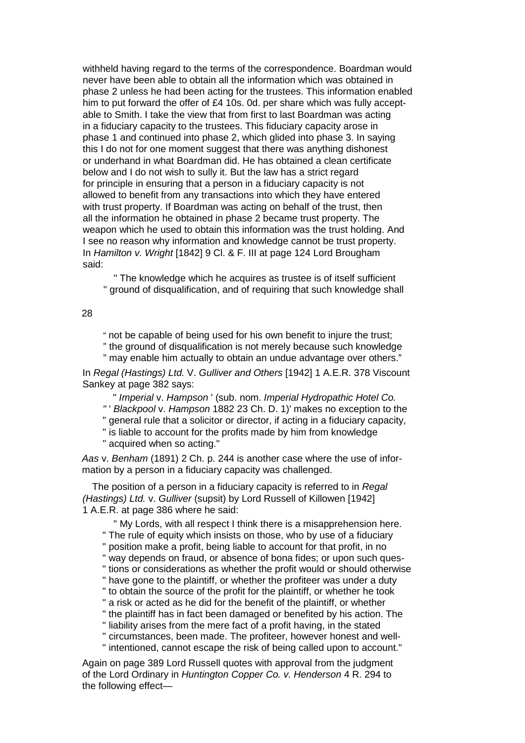withheld having regard to the terms of the correspondence. Boardman would never have been able to obtain all the information which was obtained in phase 2 unless he had been acting for the trustees. This information enabled him to put forward the offer of £4 10s. 0d. per share which was fully acceptable to Smith. I take the view that from first to last Boardman was acting in a fiduciary capacity to the trustees. This fiduciary capacity arose in phase 1 and continued into phase 2, which glided into phase 3. In saying this I do not for one moment suggest that there was anything dishonest or underhand in what Boardman did. He has obtained a clean certificate below and I do not wish to sully it. But the law has a strict regard for principle in ensuring that a person in a fiduciary capacity is not allowed to benefit from any transactions into which they have entered with trust property. If Boardman was acting on behalf of the trust, then all the information he obtained in phase 2 became trust property. The weapon which he used to obtain this information was the trust holding. And I see no reason why information and knowledge cannot be trust property. In Hamilton v. Wright [1842] 9 Cl. & F. III at page 124 Lord Brougham said:

" The knowledge which he acquires as trustee is of itself sufficient " ground of disqualification, and of requiring that such knowledge shall

# 28

" not be capable of being used for his own benefit to injure the trust;

" the ground of disqualification is not merely because such knowledge

" may enable him actually to obtain an undue advantage over others."

In Regal (Hastings) Ltd. V. Gulliver and Others [1942] 1 A.E.R. 378 Viscount Sankey at page 382 says:

" Imperial v. Hampson ' (sub. nom. Imperial Hydropathic Hotel Co.

" ' Blackpool v. Hampson 1882 23 Ch. D. 1)' makes no exception to the

" general rule that a solicitor or director, if acting in a fiduciary capacity,

" is liable to account for the profits made by him from knowledge

" acquired when so acting."

Aas v. Benham (1891) 2 Ch. p. 244 is another case where the use of information by a person in a fiduciary capacity was challenged.

The position of a person in a fiduciary capacity is referred to in Regal (Hastings) Ltd. v. Gulliver (supsit) by Lord Russell of Killowen [1942] 1 A.E.R. at page 386 where he said:

" My Lords, with all respect I think there is a misapprehension here.

" The rule of equity which insists on those, who by use of a fiduciary

" position make a profit, being liable to account for that profit, in no

" way depends on fraud, or absence of bona fides; or upon such ques-

" tions or considerations as whether the profit would or should otherwise

" have gone to the plaintiff, or whether the profiteer was under a duty

" to obtain the source of the profit for the plaintiff, or whether he took " a risk or acted as he did for the benefit of the plaintiff, or whether

" the plaintiff has in fact been damaged or benefited by his action. The

" liability arises from the mere fact of a profit having, in the stated

" circumstances, been made. The profiteer, however honest and well-

" intentioned, cannot escape the risk of being called upon to account."

Again on page 389 Lord Russell quotes with approval from the judgment of the Lord Ordinary in Huntington Copper Co. v. Henderson 4 R. 294 to the following effect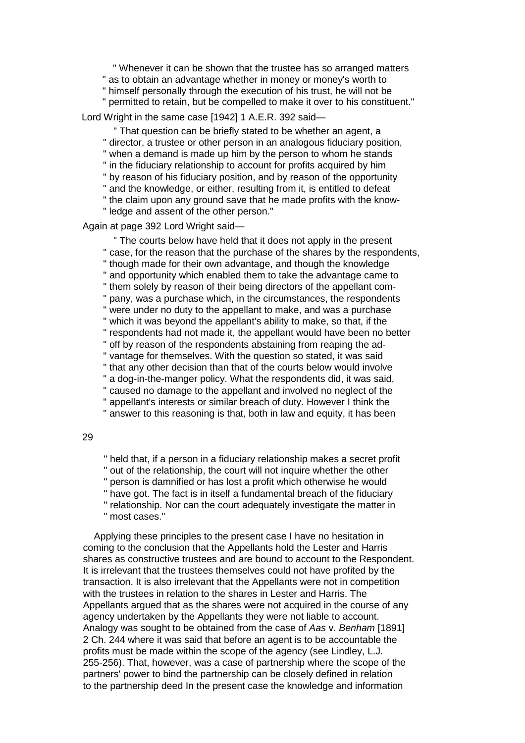" Whenever it can be shown that the trustee has so arranged matters

" as to obtain an advantage whether in money or money's worth to

" himself personally through the execution of his trust, he will not be " permitted to retain, but be compelled to make it over to his constituent."

Lord Wright in the same case [1942] 1 A.E.R. 392 said—

" That question can be briefly stated to be whether an agent, a " director, a trustee or other person in an analogous fiduciary position, " when a demand is made up him by the person to whom he stands " in the fiduciary relationship to account for profits acquired by him " by reason of his fiduciary position, and by reason of the opportunity " and the knowledge, or either, resulting from it, is entitled to defeat

" the claim upon any ground save that he made profits with the know-

" ledge and assent of the other person."

Again at page 392 Lord Wright said—

" The courts below have held that it does not apply in the present " case, for the reason that the purchase of the shares by the respondents, " though made for their own advantage, and though the knowledge " and opportunity which enabled them to take the advantage came to " them solely by reason of their being directors of the appellant com- " pany, was a purchase which, in the circumstances, the respondents " were under no duty to the appellant to make, and was a purchase " which it was beyond the appellant's ability to make, so that, if the " respondents had not made it, the appellant would have been no better " off by reason of the respondents abstaining from reaping the ad- " vantage for themselves. With the question so stated, it was said " that any other decision than that of the courts below would involve " a dog-in-the-manger policy. What the respondents did, it was said, " caused no damage to the appellant and involved no neglect of the " appellant's interests or similar breach of duty. However I think the " answer to this reasoning is that, both in law and equity, it has been

# 29

" held that, if a person in a fiduciary relationship makes a secret profit

" out of the relationship, the court will not inquire whether the other

" person is damnified or has lost a profit which otherwise he would

" have got. The fact is in itself a fundamental breach of the fiduciary

" relationship. Nor can the court adequately investigate the matter in " most cases."

Applying these principles to the present case I have no hesitation in coming to the conclusion that the Appellants hold the Lester and Harris shares as constructive trustees and are bound to account to the Respondent. It is irrelevant that the trustees themselves could not have profited by the transaction. It is also irrelevant that the Appellants were not in competition with the trustees in relation to the shares in Lester and Harris. The Appellants argued that as the shares were not acquired in the course of any agency undertaken by the Appellants they were not liable to account. Analogy was sought to be obtained from the case of Aas v. Benham [1891] 2 Ch. 244 where it was said that before an agent is to be accountable the profits must be made within the scope of the agency (see Lindley, L.J. 255-256). That, however, was a case of partnership where the scope of the partners' power to bind the partnership can be closely defined in relation to the partnership deed In the present case the knowledge and information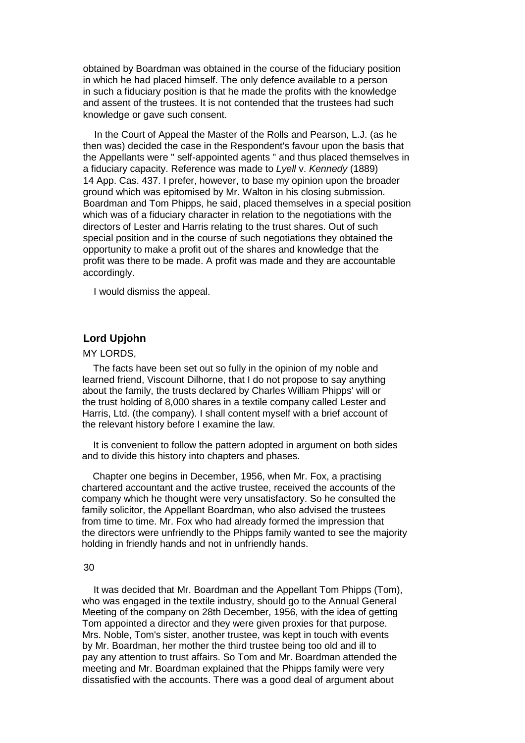obtained by Boardman was obtained in the course of the fiduciary position in which he had placed himself. The only defence available to a person in such a fiduciary position is that he made the profits with the knowledge and assent of the trustees. It is not contended that the trustees had such knowledge or gave such consent.

In the Court of Appeal the Master of the Rolls and Pearson, L.J. (as he then was) decided the case in the Respondent's favour upon the basis that the Appellants were " self-appointed agents " and thus placed themselves in a fiduciary capacity. Reference was made to Lyell v. Kennedy (1889) 14 App. Cas. 437. I prefer, however, to base my opinion upon the broader ground which was epitomised by Mr. Walton in his closing submission. Boardman and Tom Phipps, he said, placed themselves in a special position which was of a fiduciary character in relation to the negotiations with the directors of Lester and Harris relating to the trust shares. Out of such special position and in the course of such negotiations they obtained the opportunity to make a profit out of the shares and knowledge that the profit was there to be made. A profit was made and they are accountable accordingly.

I would dismiss the appeal.

# **Lord Upjohn**

MY LORDS,

The facts have been set out so fully in the opinion of my noble and learned friend, Viscount Dilhorne, that I do not propose to say anything about the family, the trusts declared by Charles William Phipps' will or the trust holding of 8,000 shares in a textile company called Lester and Harris, Ltd. (the company). I shall content myself with a brief account of the relevant history before I examine the law.

It is convenient to follow the pattern adopted in argument on both sides and to divide this history into chapters and phases.

Chapter one begins in December, 1956, when Mr. Fox, a practising chartered accountant and the active trustee, received the accounts of the company which he thought were very unsatisfactory. So he consulted the family solicitor, the Appellant Boardman, who also advised the trustees from time to time. Mr. Fox who had already formed the impression that the directors were unfriendly to the Phipps family wanted to see the majority holding in friendly hands and not in unfriendly hands.

#### 30

It was decided that Mr. Boardman and the Appellant Tom Phipps (Tom), who was engaged in the textile industry, should go to the Annual General Meeting of the company on 28th December, 1956, with the idea of getting Tom appointed a director and they were given proxies for that purpose. Mrs. Noble, Tom's sister, another trustee, was kept in touch with events by Mr. Boardman, her mother the third trustee being too old and ill to pay any attention to trust affairs. So Tom and Mr. Boardman attended the meeting and Mr. Boardman explained that the Phipps family were very dissatisfied with the accounts. There was a good deal of argument about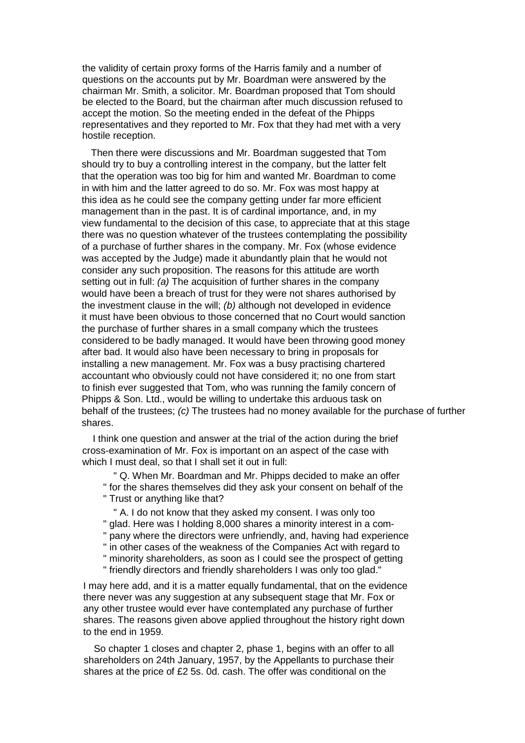the validity of certain proxy forms of the Harris family and a number of questions on the accounts put by Mr. Boardman were answered by the chairman Mr. Smith, a solicitor. Mr. Boardman proposed that Tom should be elected to the Board, but the chairman after much discussion refused to accept the motion. So the meeting ended in the defeat of the Phipps representatives and they reported to Mr. Fox that they had met with a very hostile reception.

Then there were discussions and Mr. Boardman suggested that Tom should try to buy a controlling interest in the company, but the latter felt that the operation was too big for him and wanted Mr. Boardman to come in with him and the latter agreed to do so. Mr. Fox was most happy at this idea as he could see the company getting under far more efficient management than in the past. It is of cardinal importance, and, in my view fundamental to the decision of this case, to appreciate that at this stage there was no question whatever of the trustees contemplating the possibility of a purchase of further shares in the company. Mr. Fox (whose evidence was accepted by the Judge) made it abundantly plain that he would not consider any such proposition. The reasons for this attitude are worth setting out in full: (a) The acquisition of further shares in the company would have been a breach of trust for they were not shares authorised by the investment clause in the will;  $(b)$  although not developed in evidence it must have been obvious to those concerned that no Court would sanction the purchase of further shares in a small company which the trustees considered to be badly managed. It would have been throwing good money after bad. It would also have been necessary to bring in proposals for installing a new management. Mr. Fox was a busy practising chartered accountant who obviously could not have considered it; no one from start to finish ever suggested that Tom, who was running the family concern of Phipps & Son. Ltd., would be willing to undertake this arduous task on behalf of the trustees; (c) The trustees had no money available for the purchase of further shares.

I think one question and answer at the trial of the action during the brief cross-examination of Mr. Fox is important on an aspect of the case with which I must deal, so that I shall set it out in full:

" Q. When Mr. Boardman and Mr. Phipps decided to make an offer

" for the shares themselves did they ask your consent on behalf of the " Trust or anything like that?

" A. I do not know that they asked my consent. I was only too

- " glad. Here was I holding 8,000 shares a minority interest in a com-
- " pany where the directors were unfriendly, and, having had experience
- " in other cases of the weakness of the Companies Act with regard to
- " minority shareholders, as soon as I could see the prospect of getting
- " friendly directors and friendly shareholders I was only too glad."

I may here add, and it is a matter equally fundamental, that on the evidence there never was any suggestion at any subsequent stage that Mr. Fox or any other trustee would ever have contemplated any purchase of further shares. The reasons given above applied throughout the history right down to the end in 1959.

So chapter 1 closes and chapter 2, phase 1, begins with an offer to all shareholders on 24th January, 1957, by the Appellants to purchase their shares at the price of £2 5s. 0d. cash. The offer was conditional on the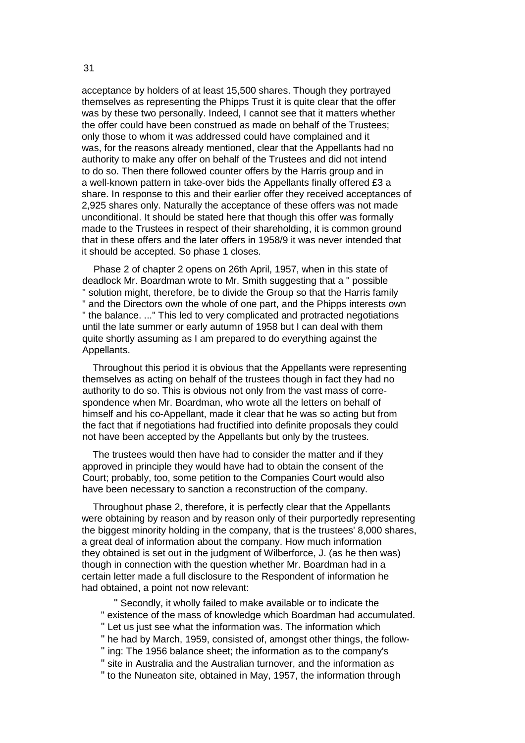acceptance by holders of at least 15,500 shares. Though they portrayed themselves as representing the Phipps Trust it is quite clear that the offer was by these two personally. Indeed, I cannot see that it matters whether the offer could have been construed as made on behalf of the Trustees; only those to whom it was addressed could have complained and it was, for the reasons already mentioned, clear that the Appellants had no authority to make any offer on behalf of the Trustees and did not intend to do so. Then there followed counter offers by the Harris group and in a well-known pattern in take-over bids the Appellants finally offered £3 a share. In response to this and their earlier offer they received acceptances of 2,925 shares only. Naturally the acceptance of these offers was not made unconditional. It should be stated here that though this offer was formally made to the Trustees in respect of their shareholding, it is common ground that in these offers and the later offers in 1958/9 it was never intended that it should be accepted. So phase 1 closes.

Phase 2 of chapter 2 opens on 26th April, 1957, when in this state of deadlock Mr. Boardman wrote to Mr. Smith suggesting that a " possible " solution might, therefore, be to divide the Group so that the Harris family " and the Directors own the whole of one part, and the Phipps interests own " the balance. ..." This led to very complicated and protracted negotiations until the late summer or early autumn of 1958 but I can deal with them quite shortly assuming as I am prepared to do everything against the Appellants.

Throughout this period it is obvious that the Appellants were representing themselves as acting on behalf of the trustees though in fact they had no authority to do so. This is obvious not only from the vast mass of correspondence when Mr. Boardman, who wrote all the letters on behalf of himself and his co-Appellant, made it clear that he was so acting but from the fact that if negotiations had fructified into definite proposals they could not have been accepted by the Appellants but only by the trustees.

The trustees would then have had to consider the matter and if they approved in principle they would have had to obtain the consent of the Court; probably, too, some petition to the Companies Court would also have been necessary to sanction a reconstruction of the company.

Throughout phase 2, therefore, it is perfectly clear that the Appellants were obtaining by reason and by reason only of their purportedly representing the biggest minority holding in the company, that is the trustees' 8,000 shares, a great deal of information about the company. How much information they obtained is set out in the judgment of Wilberforce, J. (as he then was) though in connection with the question whether Mr. Boardman had in a certain letter made a full disclosure to the Respondent of information he had obtained, a point not now relevant:

" Secondly, it wholly failed to make available or to indicate the " existence of the mass of knowledge which Boardman had accumulated.

- " Let us just see what the information was. The information which
- " he had by March, 1959, consisted of, amongst other things, the follow-
- " ing: The 1956 balance sheet; the information as to the company's
- " site in Australia and the Australian turnover, and the information as
- " to the Nuneaton site, obtained in May, 1957, the information through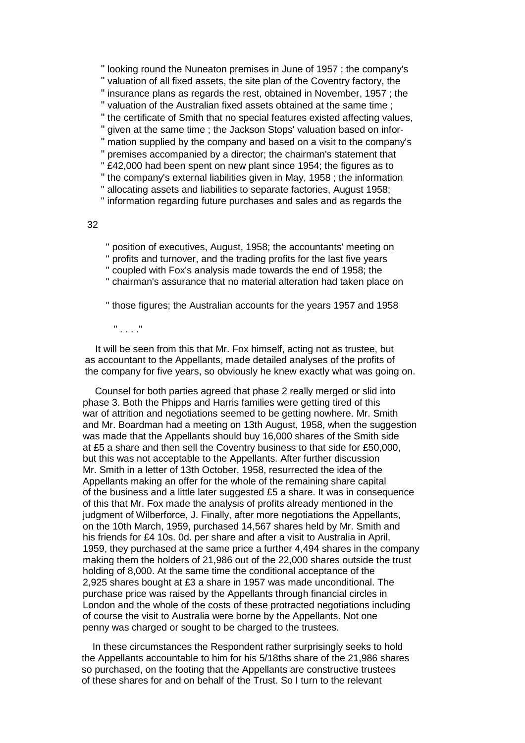" looking round the Nuneaton premises in June of 1957 ; the company's " valuation of all fixed assets, the site plan of the Coventry factory, the " insurance plans as regards the rest, obtained in November, 1957 ; the " valuation of the Australian fixed assets obtained at the same time ; " the certificate of Smith that no special features existed affecting values, " given at the same time ; the Jackson Stops' valuation based on infor- " mation supplied by the company and based on a visit to the company's premises accompanied by a director; the chairman's statement that " £42,000 had been spent on new plant since 1954; the figures as to " the company's external liabilities given in May, 1958 ; the information " allocating assets and liabilities to separate factories, August 1958; " information regarding future purchases and sales and as regards the

32

" position of executives, August, 1958; the accountants' meeting on

- " profits and turnover, and the trading profits for the last five years
- " coupled with Fox's analysis made towards the end of 1958; the
- " chairman's assurance that no material alteration had taken place on

" those figures; the Australian accounts for the years 1957 and 1958

" . . . ."

It will be seen from this that Mr. Fox himself, acting not as trustee, but as accountant to the Appellants, made detailed analyses of the profits of the company for five years, so obviously he knew exactly what was going on.

Counsel for both parties agreed that phase 2 really merged or slid into phase 3. Both the Phipps and Harris families were getting tired of this war of attrition and negotiations seemed to be getting nowhere. Mr. Smith and Mr. Boardman had a meeting on 13th August, 1958, when the suggestion was made that the Appellants should buy 16,000 shares of the Smith side at £5 a share and then sell the Coventry business to that side for £50,000, but this was not acceptable to the Appellants. After further discussion Mr. Smith in a letter of 13th October, 1958, resurrected the idea of the Appellants making an offer for the whole of the remaining share capital of the business and a little later suggested £5 a share. It was in consequence of this that Mr. Fox made the analysis of profits already mentioned in the judgment of Wilberforce, J. Finally, after more negotiations the Appellants, on the 10th March, 1959, purchased 14,567 shares held by Mr. Smith and his friends for £4 10s. 0d. per share and after a visit to Australia in April. 1959, they purchased at the same price a further 4,494 shares in the company making them the holders of 21,986 out of the 22,000 shares outside the trust holding of 8,000. At the same time the conditional acceptance of the 2,925 shares bought at £3 a share in 1957 was made unconditional. The purchase price was raised by the Appellants through financial circles in London and the whole of the costs of these protracted negotiations including of course the visit to Australia were borne by the Appellants. Not one penny was charged or sought to be charged to the trustees.

In these circumstances the Respondent rather surprisingly seeks to hold the Appellants accountable to him for his 5/18ths share of the 21,986 shares so purchased, on the footing that the Appellants are constructive trustees of these shares for and on behalf of the Trust. So I turn to the relevant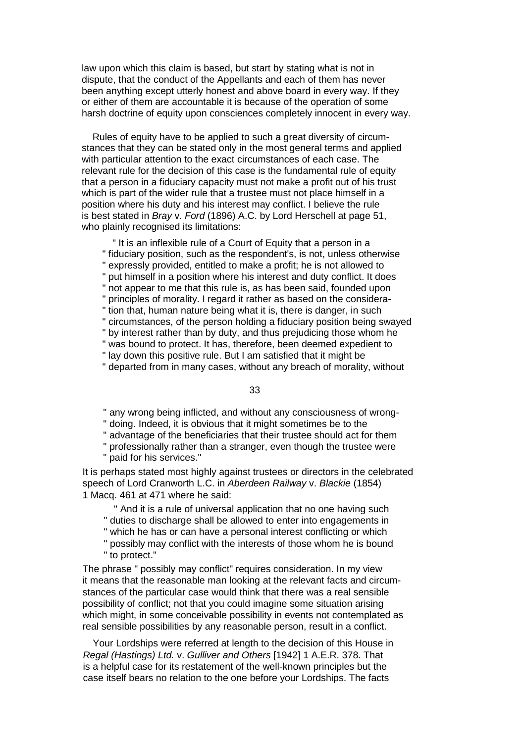law upon which this claim is based, but start by stating what is not in dispute, that the conduct of the Appellants and each of them has never been anything except utterly honest and above board in every way. If they or either of them are accountable it is because of the operation of some harsh doctrine of equity upon consciences completely innocent in every way.

Rules of equity have to be applied to such a great diversity of circumstances that they can be stated only in the most general terms and applied with particular attention to the exact circumstances of each case. The relevant rule for the decision of this case is the fundamental rule of equity that a person in a fiduciary capacity must not make a profit out of his trust which is part of the wider rule that a trustee must not place himself in a position where his duty and his interest may conflict. I believe the rule is best stated in Bray v. Ford (1896) A.C. by Lord Herschell at page 51, who plainly recognised its limitations:

" It is an inflexible rule of a Court of Equity that a person in a " fiduciary position, such as the respondent's, is not, unless otherwise " expressly provided, entitled to make a profit; he is not allowed to " put himself in a position where his interest and duty conflict. It does " not appear to me that this rule is, as has been said, founded upon " principles of morality. I regard it rather as based on the considera- " tion that, human nature being what it is, there is danger, in such " circumstances, of the person holding a fiduciary position being swayed " by interest rather than by duty, and thus prejudicing those whom he

" was bound to protect. It has, therefore, been deemed expedient to

" lay down this positive rule. But I am satisfied that it might be

" departed from in many cases, without any breach of morality, without

33

" any wrong being inflicted, and without any consciousness of wrong-

" doing. Indeed, it is obvious that it might sometimes be to the

" advantage of the beneficiaries that their trustee should act for them

" professionally rather than a stranger, even though the trustee were " paid for his services."

It is perhaps stated most highly against trustees or directors in the celebrated speech of Lord Cranworth L.C. in Aberdeen Railway v. Blackie (1854) 1 Macq. 461 at 471 where he said:

" And it is a rule of universal application that no one having such

" duties to discharge shall be allowed to enter into engagements in

" which he has or can have a personal interest conflicting or which

" possibly may conflict with the interests of those whom he is bound " to protect."

The phrase " possibly may conflict" requires consideration. In my view it means that the reasonable man looking at the relevant facts and circumstances of the particular case would think that there was a real sensible possibility of conflict; not that you could imagine some situation arising which might, in some conceivable possibility in events not contemplated as real sensible possibilities by any reasonable person, result in a conflict.

Your Lordships were referred at length to the decision of this House in Regal (Hastings) Ltd. v. Gulliver and Others [1942] 1 A.E.R. 378. That is a helpful case for its restatement of the well-known principles but the case itself bears no relation to the one before your Lordships. The facts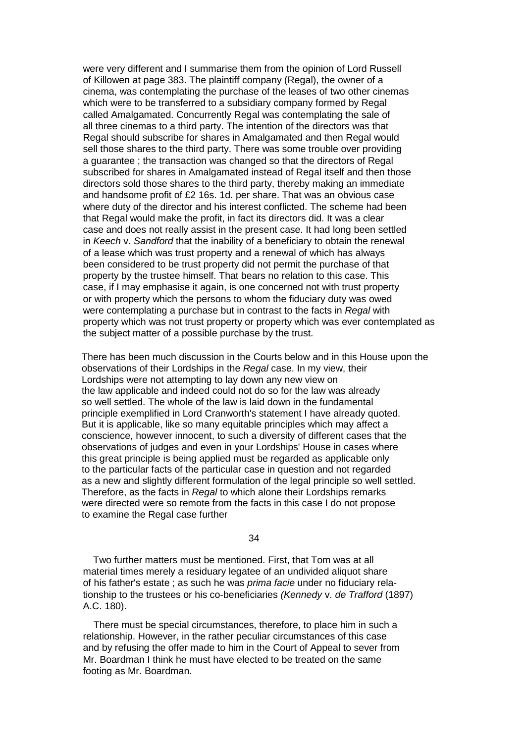were very different and I summarise them from the opinion of Lord Russell of Killowen at page 383. The plaintiff company (Regal), the owner of a cinema, was contemplating the purchase of the leases of two other cinemas which were to be transferred to a subsidiary company formed by Regal called Amalgamated. Concurrently Regal was contemplating the sale of all three cinemas to a third party. The intention of the directors was that Regal should subscribe for shares in Amalgamated and then Regal would sell those shares to the third party. There was some trouble over providing a guarantee ; the transaction was changed so that the directors of Regal subscribed for shares in Amalgamated instead of Regal itself and then those directors sold those shares to the third party, thereby making an immediate and handsome profit of £2 16s. 1d. per share. That was an obvious case where duty of the director and his interest conflicted. The scheme had been that Regal would make the profit, in fact its directors did. It was a clear case and does not really assist in the present case. It had long been settled in Keech v. Sandford that the inability of a beneficiary to obtain the renewal of a lease which was trust property and a renewal of which has always been considered to be trust property did not permit the purchase of that property by the trustee himself. That bears no relation to this case. This case, if I may emphasise it again, is one concerned not with trust property or with property which the persons to whom the fiduciary duty was owed were contemplating a purchase but in contrast to the facts in Regal with property which was not trust property or property which was ever contemplated as the subject matter of a possible purchase by the trust.

There has been much discussion in the Courts below and in this House upon the observations of their Lordships in the Regal case. In my view, their Lordships were not attempting to lay down any new view on the law applicable and indeed could not do so for the law was already so well settled. The whole of the law is laid down in the fundamental principle exemplified in Lord Cranworth's statement I have already quoted. But it is applicable, like so many equitable principles which may affect a conscience, however innocent, to such a diversity of different cases that the observations of judges and even in your Lordships' House in cases where this great principle is being applied must be regarded as applicable only to the particular facts of the particular case in question and not regarded as a new and slightly different formulation of the legal principle so well settled. Therefore, as the facts in Regal to which alone their Lordships remarks were directed were so remote from the facts in this case I do not propose to examine the Regal case further

 $34$ 

Two further matters must be mentioned. First, that Tom was at all material times merely a residuary legatee of an undivided aliquot share of his father's estate ; as such he was prima facie under no fiduciary relationship to the trustees or his co-beneficiaries (Kennedy v. de Trafford (1897) A.C. 180).

There must be special circumstances, therefore, to place him in such a relationship. However, in the rather peculiar circumstances of this case and by refusing the offer made to him in the Court of Appeal to sever from Mr. Boardman I think he must have elected to be treated on the same footing as Mr. Boardman.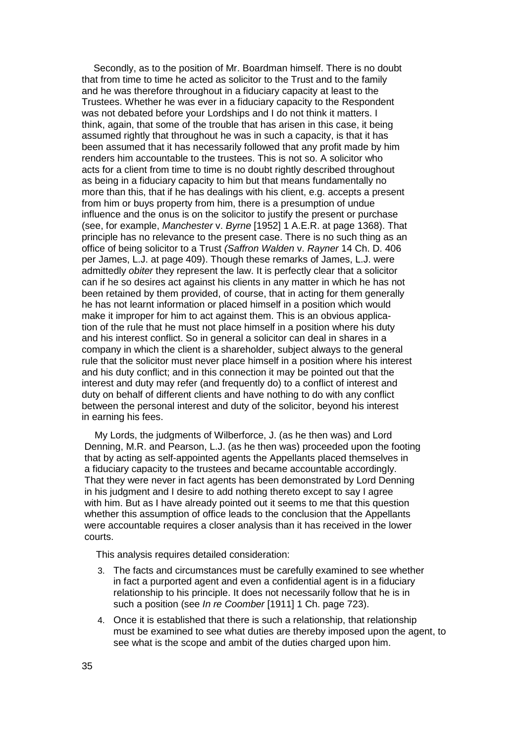Secondly, as to the position of Mr. Boardman himself. There is no doubt that from time to time he acted as solicitor to the Trust and to the family and he was therefore throughout in a fiduciary capacity at least to the Trustees. Whether he was ever in a fiduciary capacity to the Respondent was not debated before your Lordships and I do not think it matters. I think, again, that some of the trouble that has arisen in this case, it being assumed rightly that throughout he was in such a capacity, is that it has been assumed that it has necessarily followed that any profit made by him renders him accountable to the trustees. This is not so. A solicitor who acts for a client from time to time is no doubt rightly described throughout as being in a fiduciary capacity to him but that means fundamentally no more than this, that if he has dealings with his client, e.g. accepts a present from him or buys property from him, there is a presumption of undue influence and the onus is on the solicitor to justify the present or purchase (see, for example, Manchester v. Byrne [1952] 1 A.E.R. at page 1368). That principle has no relevance to the present case. There is no such thing as an office of being solicitor to a Trust (Saffron Walden v. Rayner 14 Ch. D. 406 per James, L.J. at page 409). Though these remarks of James, L.J. were admittedly obiter they represent the law. It is perfectly clear that a solicitor can if he so desires act against his clients in any matter in which he has not been retained by them provided, of course, that in acting for them generally he has not learnt information or placed himself in a position which would make it improper for him to act against them. This is an obvious application of the rule that he must not place himself in a position where his duty and his interest conflict. So in general a solicitor can deal in shares in a company in which the client is a shareholder, subject always to the general rule that the solicitor must never place himself in a position where his interest and his duty conflict; and in this connection it may be pointed out that the interest and duty may refer (and frequently do) to a conflict of interest and duty on behalf of different clients and have nothing to do with any conflict between the personal interest and duty of the solicitor, beyond his interest in earning his fees.

My Lords, the judgments of Wilberforce, J. (as he then was) and Lord Denning, M.R. and Pearson, L.J. (as he then was) proceeded upon the footing that by acting as self-appointed agents the Appellants placed themselves in a fiduciary capacity to the trustees and became accountable accordingly. That they were never in fact agents has been demonstrated by Lord Denning in his judgment and I desire to add nothing thereto except to say I agree with him. But as I have already pointed out it seems to me that this question whether this assumption of office leads to the conclusion that the Appellants were accountable requires a closer analysis than it has received in the lower courts.

This analysis requires detailed consideration:

- 3. The facts and circumstances must be carefully examined to see whether in fact a purported agent and even a confidential agent is in a fiduciary relationship to his principle. It does not necessarily follow that he is in such a position (see In re Coomber [1911] 1 Ch. page 723).
- 4. Once it is established that there is such a relationship, that relationship must be examined to see what duties are thereby imposed upon the agent, to see what is the scope and ambit of the duties charged upon him.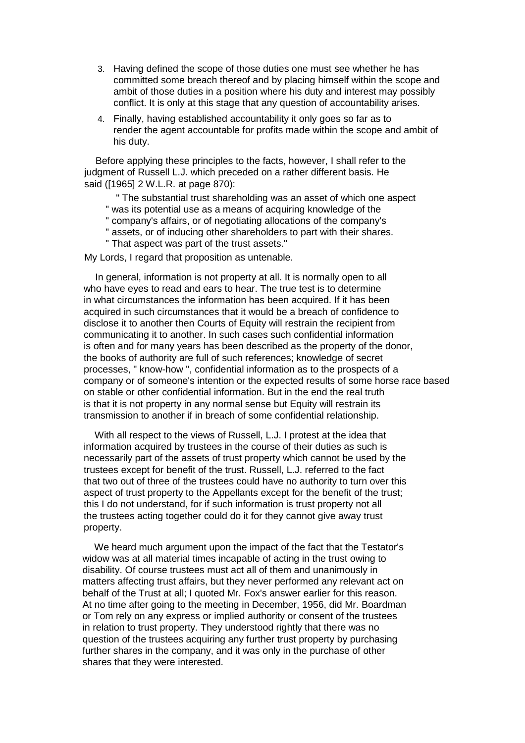- 3. Having defined the scope of those duties one must see whether he has committed some breach thereof and by placing himself within the scope and ambit of those duties in a position where his duty and interest may possibly conflict. It is only at this stage that any question of accountability arises.
- 4. Finally, having established accountability it only goes so far as to render the agent accountable for profits made within the scope and ambit of his duty.

Before applying these principles to the facts, however, I shall refer to the judgment of Russell L.J. which preceded on a rather different basis. He said ([1965] 2 W.L.R. at page 870):

- " The substantial trust shareholding was an asset of which one aspect
- " was its potential use as a means of acquiring knowledge of the
- " company's affairs, or of negotiating allocations of the company's
- " assets, or of inducing other shareholders to part with their shares.
- " That aspect was part of the trust assets."

My Lords, I regard that proposition as untenable.

In general, information is not property at all. It is normally open to all who have eyes to read and ears to hear. The true test is to determine in what circumstances the information has been acquired. If it has been acquired in such circumstances that it would be a breach of confidence to disclose it to another then Courts of Equity will restrain the recipient from communicating it to another. In such cases such confidential information is often and for many years has been described as the property of the donor, the books of authority are full of such references; knowledge of secret processes, " know-how ", confidential information as to the prospects of a company or of someone's intention or the expected results of some horse race based on stable or other confidential information. But in the end the real truth is that it is not property in any normal sense but Equity will restrain its transmission to another if in breach of some confidential relationship.

With all respect to the views of Russell, L.J. I protest at the idea that information acquired by trustees in the course of their duties as such is necessarily part of the assets of trust property which cannot be used by the trustees except for benefit of the trust. Russell, L.J. referred to the fact that two out of three of the trustees could have no authority to turn over this aspect of trust property to the Appellants except for the benefit of the trust; this I do not understand, for if such information is trust property not all the trustees acting together could do it for they cannot give away trust property.

We heard much argument upon the impact of the fact that the Testator's widow was at all material times incapable of acting in the trust owing to disability. Of course trustees must act all of them and unanimously in matters affecting trust affairs, but they never performed any relevant act on behalf of the Trust at all; I quoted Mr. Fox's answer earlier for this reason. At no time after going to the meeting in December, 1956, did Mr. Boardman or Tom rely on any express or implied authority or consent of the trustees in relation to trust property. They understood rightly that there was no question of the trustees acquiring any further trust property by purchasing further shares in the company, and it was only in the purchase of other shares that they were interested.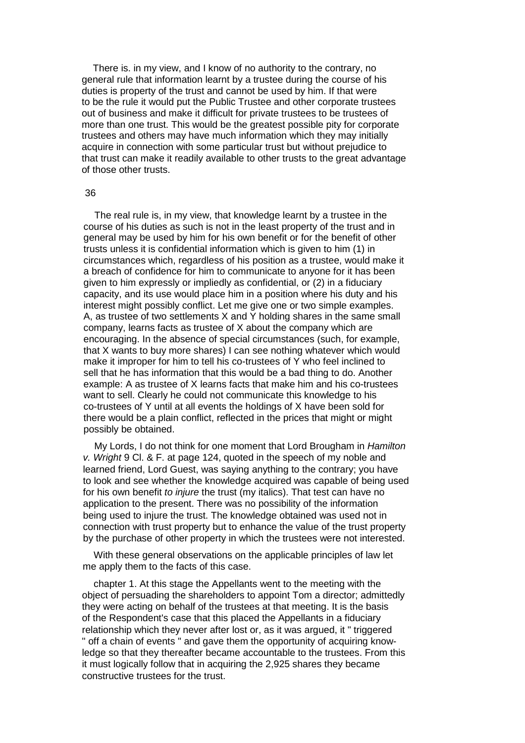There is. in my view, and I know of no authority to the contrary, no general rule that information learnt by a trustee during the course of his duties is property of the trust and cannot be used by him. If that were to be the rule it would put the Public Trustee and other corporate trustees out of business and make it difficult for private trustees to be trustees of more than one trust. This would be the greatest possible pity for corporate trustees and others may have much information which they may initially acquire in connection with some particular trust but without prejudice to that trust can make it readily available to other trusts to the great advantage of those other trusts.

#### 36

The real rule is, in my view, that knowledge learnt by a trustee in the course of his duties as such is not in the least property of the trust and in general may be used by him for his own benefit or for the benefit of other trusts unless it is confidential information which is given to him (1) in circumstances which, regardless of his position as a trustee, would make it a breach of confidence for him to communicate to anyone for it has been given to him expressly or impliedly as confidential, or (2) in a fiduciary capacity, and its use would place him in a position where his duty and his interest might possibly conflict. Let me give one or two simple examples. A, as trustee of two settlements X and Y holding shares in the same small company, learns facts as trustee of X about the company which are encouraging. In the absence of special circumstances (such, for example, that X wants to buy more shares) I can see nothing whatever which would make it improper for him to tell his co-trustees of Y who feel inclined to sell that he has information that this would be a bad thing to do. Another example: A as trustee of X learns facts that make him and his co-trustees want to sell. Clearly he could not communicate this knowledge to his co-trustees of Y until at all events the holdings of X have been sold for there would be a plain conflict, reflected in the prices that might or might possibly be obtained.

My Lords, I do not think for one moment that Lord Brougham in Hamilton v. Wright 9 Cl. & F. at page 124, quoted in the speech of my noble and learned friend, Lord Guest, was saying anything to the contrary; you have to look and see whether the knowledge acquired was capable of being used for his own benefit to *injure* the trust (my italics). That test can have no application to the present. There was no possibility of the information being used to injure the trust. The knowledge obtained was used not in connection with trust property but to enhance the value of the trust property by the purchase of other property in which the trustees were not interested.

With these general observations on the applicable principles of law let me apply them to the facts of this case.

chapter 1. At this stage the Appellants went to the meeting with the object of persuading the shareholders to appoint Tom a director; admittedly they were acting on behalf of the trustees at that meeting. It is the basis of the Respondent's case that this placed the Appellants in a fiduciary relationship which they never after lost or, as it was argued, it " triggered " off a chain of events " and gave them the opportunity of acquiring knowledge so that they thereafter became accountable to the trustees. From this it must logically follow that in acquiring the 2,925 shares they became constructive trustees for the trust.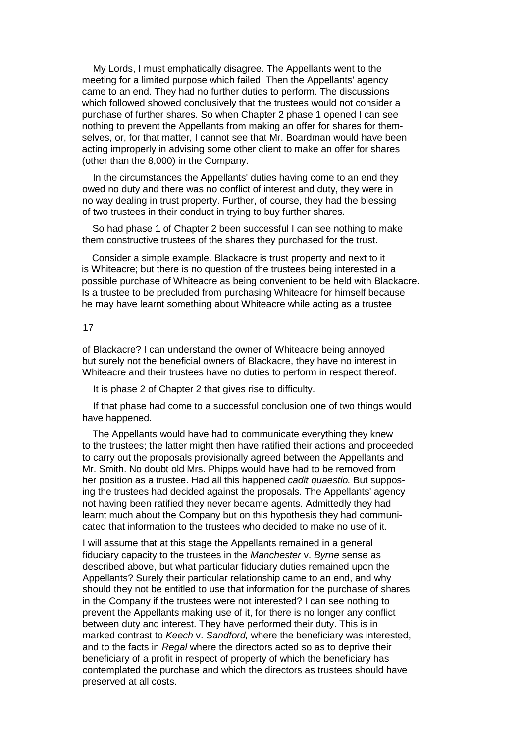My Lords, I must emphatically disagree. The Appellants went to the meeting for a limited purpose which failed. Then the Appellants' agency came to an end. They had no further duties to perform. The discussions which followed showed conclusively that the trustees would not consider a purchase of further shares. So when Chapter 2 phase 1 opened I can see nothing to prevent the Appellants from making an offer for shares for themselves, or, for that matter, I cannot see that Mr. Boardman would have been acting improperly in advising some other client to make an offer for shares (other than the 8,000) in the Company.

In the circumstances the Appellants' duties having come to an end they owed no duty and there was no conflict of interest and duty, they were in no way dealing in trust property. Further, of course, they had the blessing of two trustees in their conduct in trying to buy further shares.

So had phase 1 of Chapter 2 been successful I can see nothing to make them constructive trustees of the shares they purchased for the trust.

Consider a simple example. Blackacre is trust property and next to it is Whiteacre; but there is no question of the trustees being interested in a possible purchase of Whiteacre as being convenient to be held with Blackacre. Is a trustee to be precluded from purchasing Whiteacre for himself because he may have learnt something about Whiteacre while acting as a trustee

# 17

of Blackacre? I can understand the owner of Whiteacre being annoyed but surely not the beneficial owners of Blackacre, they have no interest in Whiteacre and their trustees have no duties to perform in respect thereof.

It is phase 2 of Chapter 2 that gives rise to difficulty.

If that phase had come to a successful conclusion one of two things would have happened.

The Appellants would have had to communicate everything they knew to the trustees; the latter might then have ratified their actions and proceeded to carry out the proposals provisionally agreed between the Appellants and Mr. Smith. No doubt old Mrs. Phipps would have had to be removed from her position as a trustee. Had all this happened cadit quaestio. But supposing the trustees had decided against the proposals. The Appellants' agency not having been ratified they never became agents. Admittedly they had learnt much about the Company but on this hypothesis they had communicated that information to the trustees who decided to make no use of it.

I will assume that at this stage the Appellants remained in a general fiduciary capacity to the trustees in the Manchester v. Byrne sense as described above, but what particular fiduciary duties remained upon the Appellants? Surely their particular relationship came to an end, and why should they not be entitled to use that information for the purchase of shares in the Company if the trustees were not interested? I can see nothing to prevent the Appellants making use of it, for there is no longer any conflict between duty and interest. They have performed their duty. This is in marked contrast to Keech v. Sandford, where the beneficiary was interested, and to the facts in Regal where the directors acted so as to deprive their beneficiary of a profit in respect of property of which the beneficiary has contemplated the purchase and which the directors as trustees should have preserved at all costs.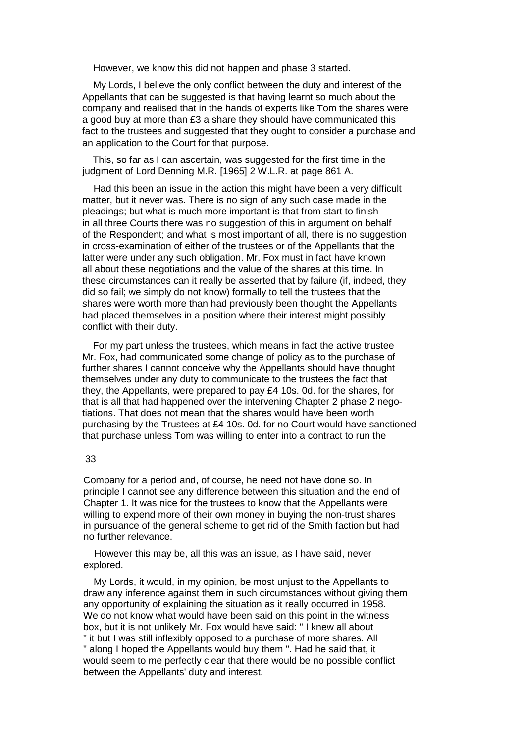However, we know this did not happen and phase 3 started.

My Lords, I believe the only conflict between the duty and interest of the Appellants that can be suggested is that having learnt so much about the company and realised that in the hands of experts like Tom the shares were a good buy at more than £3 a share they should have communicated this fact to the trustees and suggested that they ought to consider a purchase and an application to the Court for that purpose.

This, so far as I can ascertain, was suggested for the first time in the judgment of Lord Denning M.R. [1965] 2 W.L.R. at page 861 A.

Had this been an issue in the action this might have been a very difficult matter, but it never was. There is no sign of any such case made in the pleadings; but what is much more important is that from start to finish in all three Courts there was no suggestion of this in argument on behalf of the Respondent; and what is most important of all, there is no suggestion in cross-examination of either of the trustees or of the Appellants that the latter were under any such obligation. Mr. Fox must in fact have known all about these negotiations and the value of the shares at this time. In these circumstances can it really be asserted that by failure (if, indeed, they did so fail; we simply do not know) formally to tell the trustees that the shares were worth more than had previously been thought the Appellants had placed themselves in a position where their interest might possibly conflict with their duty.

For my part unless the trustees, which means in fact the active trustee Mr. Fox, had communicated some change of policy as to the purchase of further shares I cannot conceive why the Appellants should have thought themselves under any duty to communicate to the trustees the fact that they, the Appellants, were prepared to pay £4 10s. 0d. for the shares, for that is all that had happened over the intervening Chapter 2 phase 2 negotiations. That does not mean that the shares would have been worth purchasing by the Trustees at £4 10s. 0d. for no Court would have sanctioned that purchase unless Tom was willing to enter into a contract to run the

# 33

Company for a period and, of course, he need not have done so. In principle I cannot see any difference between this situation and the end of Chapter 1. It was nice for the trustees to know that the Appellants were willing to expend more of their own money in buying the non-trust shares in pursuance of the general scheme to get rid of the Smith faction but had no further relevance.

However this may be, all this was an issue, as I have said, never explored.

My Lords, it would, in my opinion, be most unjust to the Appellants to draw any inference against them in such circumstances without giving them any opportunity of explaining the situation as it really occurred in 1958. We do not know what would have been said on this point in the witness box, but it is not unlikely Mr. Fox would have said: " I knew all about " it but I was still inflexibly opposed to a purchase of more shares. All " along I hoped the Appellants would buy them ". Had he said that, it would seem to me perfectly clear that there would be no possible conflict between the Appellants' duty and interest.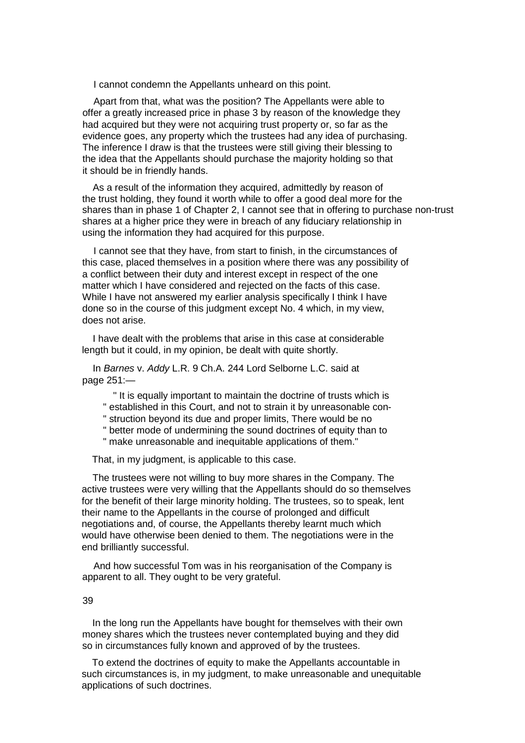I cannot condemn the Appellants unheard on this point.

Apart from that, what was the position? The Appellants were able to offer a greatly increased price in phase 3 by reason of the knowledge they had acquired but they were not acquiring trust property or, so far as the evidence goes, any property which the trustees had any idea of purchasing. The inference I draw is that the trustees were still giving their blessing to the idea that the Appellants should purchase the majority holding so that it should be in friendly hands.

As a result of the information they acquired, admittedly by reason of the trust holding, they found it worth while to offer a good deal more for the shares than in phase 1 of Chapter 2, I cannot see that in offering to purchase non-trust shares at a higher price they were in breach of any fiduciary relationship in using the information they had acquired for this purpose.

I cannot see that they have, from start to finish, in the circumstances of this case, placed themselves in a position where there was any possibility of a conflict between their duty and interest except in respect of the one matter which I have considered and rejected on the facts of this case. While I have not answered my earlier analysis specifically I think I have done so in the course of this judgment except No. 4 which, in my view, does not arise.

I have dealt with the problems that arise in this case at considerable length but it could, in my opinion, be dealt with quite shortly.

In Barnes v. Addy L.R. 9 Ch.A. 244 Lord Selborne L.C. said at page 251:—

" It is equally important to maintain the doctrine of trusts which is " established in this Court, and not to strain it by unreasonable con-

" struction beyond its due and proper limits, There would be no

" better mode of undermining the sound doctrines of equity than to

" make unreasonable and inequitable applications of them."

That, in my judgment, is applicable to this case.

The trustees were not willing to buy more shares in the Company. The active trustees were very willing that the Appellants should do so themselves for the benefit of their large minority holding. The trustees, so to speak, lent their name to the Appellants in the course of prolonged and difficult negotiations and, of course, the Appellants thereby learnt much which would have otherwise been denied to them. The negotiations were in the end brilliantly successful.

And how successful Tom was in his reorganisation of the Company is apparent to all. They ought to be very grateful.

### 39

In the long run the Appellants have bought for themselves with their own money shares which the trustees never contemplated buying and they did so in circumstances fully known and approved of by the trustees.

To extend the doctrines of equity to make the Appellants accountable in such circumstances is, in my judgment, to make unreasonable and unequitable applications of such doctrines.